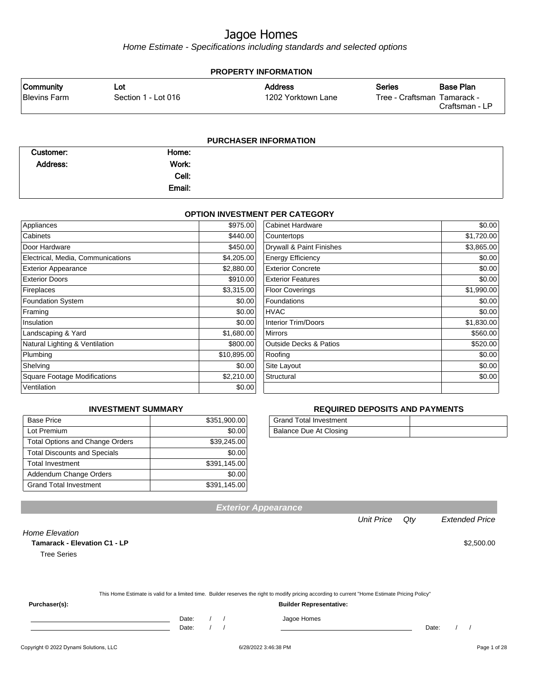Home Estimate - Specifications including standards and selected options

| <b>PROPERTY INFORMATION</b>      |                            |                                      |               |                                                                   |  |  |
|----------------------------------|----------------------------|--------------------------------------|---------------|-------------------------------------------------------------------|--|--|
| Community<br><b>Blevins Farm</b> | Lot<br>Section 1 - Lot 016 | <b>Address</b><br>1202 Yorktown Lane | <b>Series</b> | <b>Base Plan</b><br>Tree - Craftsman Tamarack -<br>Craftsman - LP |  |  |
|                                  |                            |                                      |               |                                                                   |  |  |

| <b>PURCHASER INFORMATION</b> |        |  |  |  |
|------------------------------|--------|--|--|--|
| Customer:                    | Home:  |  |  |  |
| Address:                     | Work:  |  |  |  |
|                              | Cell:  |  |  |  |
|                              | Email: |  |  |  |

#### **OPTION INVESTMENT PER CATEGORY**

| Appliances                          | \$975.00    | <b>Cabinet Hardware</b>           | \$0.00     |
|-------------------------------------|-------------|-----------------------------------|------------|
| Cabinets                            | \$440.00    | Countertops                       | \$1,720.00 |
| Door Hardware                       | \$450.00    | Drywall & Paint Finishes          | \$3,865.00 |
| Electrical, Media, Communications   | \$4,205.00  | <b>Energy Efficiency</b>          | \$0.00     |
| <b>Exterior Appearance</b>          | \$2,880.00  | <b>Exterior Concrete</b>          | \$0.00     |
| <b>Exterior Doors</b>               | \$910.00    | <b>Exterior Features</b>          | \$0.00     |
| Fireplaces                          | \$3,315.00  | <b>Floor Coverings</b>            | \$1,990.00 |
| <b>Foundation System</b>            | \$0.00      | Foundations                       | \$0.00     |
| Framing                             | \$0.00      | <b>HVAC</b>                       | \$0.00     |
| Insulation                          | \$0.00      | Interior Trim/Doors               | \$1,830.00 |
| Landscaping & Yard                  | \$1,680.00  | <b>Mirrors</b>                    | \$560.00   |
| Natural Lighting & Ventilation      | \$800.00    | <b>Outside Decks &amp; Patios</b> | \$520.00   |
| Plumbing                            | \$10,895.00 | Roofing                           | \$0.00     |
| Shelving                            | \$0.00      | Site Layout                       | \$0.00     |
| <b>Square Footage Modifications</b> | \$2,210.00  | Structural                        | \$0.00     |
| Ventilation                         | \$0.00      |                                   |            |

#### **INVESTMENT SUMMARY**

| <b>Base Price</b>                      | \$351,900.00 |
|----------------------------------------|--------------|
| Lot Premium                            | \$0.00       |
| <b>Total Options and Change Orders</b> | \$39,245.00  |
| <b>Total Discounts and Specials</b>    | \$0.00       |
| <b>Total Investment</b>                | \$391,145.00 |
| Addendum Change Orders                 | \$0.00       |
| <b>Grand Total Investment</b>          | \$391,145.00 |

#### **REQUIRED DEPOSITS AND PAYMENTS**

| <b>Grand Total Investment</b> |  |
|-------------------------------|--|
| Balance Due At Closing        |  |

| <b>Exterior Appearance</b> |
|----------------------------|
|                            |

Unit Price Qty Extended Price

Home Elevation

**Tamarack - Elevation C1 - LP**  $$2,500.00$ 

Tree Series

|               |       |  | This Home Estimate is valid for a limited time. Builder reserves the right to modify pricing according to current "Home Estimate Pricing Policy" |       |  |
|---------------|-------|--|--------------------------------------------------------------------------------------------------------------------------------------------------|-------|--|
| Purchaser(s): |       |  | <b>Builder Representative:</b>                                                                                                                   |       |  |
|               | Date: |  | Jagoe Homes                                                                                                                                      |       |  |
|               | Date: |  |                                                                                                                                                  | Date: |  |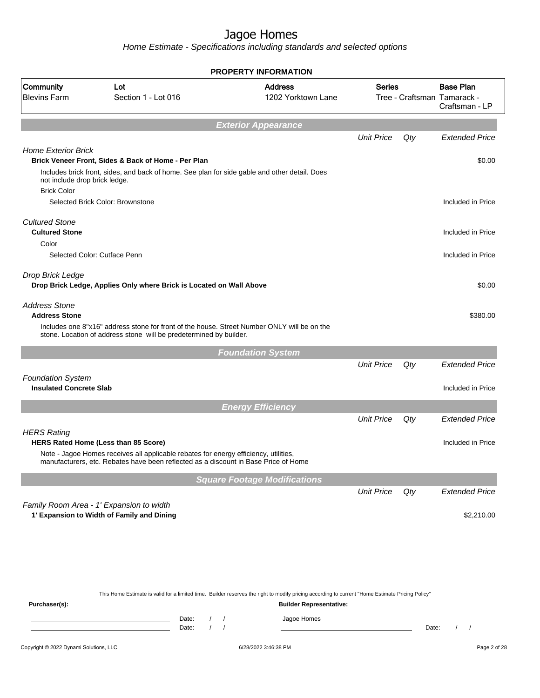Home Estimate - Specifications including standards and selected options

|                                                            |                                                                                                                                                                             | <b>PROPERTY INFORMATION</b>          |                   |     |                                                                   |
|------------------------------------------------------------|-----------------------------------------------------------------------------------------------------------------------------------------------------------------------------|--------------------------------------|-------------------|-----|-------------------------------------------------------------------|
| Community<br><b>Blevins Farm</b>                           | Lot<br>Section 1 - Lot 016                                                                                                                                                  | <b>Address</b><br>1202 Yorktown Lane | <b>Series</b>     |     | <b>Base Plan</b><br>Tree - Craftsman Tamarack -<br>Craftsman - LP |
|                                                            |                                                                                                                                                                             | <b>Exterior Appearance</b>           |                   |     |                                                                   |
|                                                            |                                                                                                                                                                             |                                      | <b>Unit Price</b> | Qty | <b>Extended Price</b>                                             |
| <b>Home Exterior Brick</b>                                 |                                                                                                                                                                             |                                      |                   |     |                                                                   |
|                                                            | Brick Veneer Front, Sides & Back of Home - Per Plan                                                                                                                         |                                      |                   |     | \$0.00                                                            |
| not include drop brick ledge.                              | Includes brick front, sides, and back of home. See plan for side gable and other detail. Does                                                                               |                                      |                   |     |                                                                   |
| <b>Brick Color</b>                                         |                                                                                                                                                                             |                                      |                   |     |                                                                   |
|                                                            | Selected Brick Color: Brownstone                                                                                                                                            |                                      |                   |     | Included in Price                                                 |
| <b>Cultured Stone</b>                                      |                                                                                                                                                                             |                                      |                   |     |                                                                   |
| <b>Cultured Stone</b>                                      |                                                                                                                                                                             |                                      |                   |     | Included in Price                                                 |
| Color                                                      |                                                                                                                                                                             |                                      |                   |     |                                                                   |
|                                                            | Selected Color: Cutface Penn                                                                                                                                                |                                      |                   |     | Included in Price                                                 |
| Drop Brick Ledge                                           |                                                                                                                                                                             |                                      |                   |     |                                                                   |
|                                                            | Drop Brick Ledge, Applies Only where Brick is Located on Wall Above                                                                                                         |                                      |                   |     | \$0.00                                                            |
|                                                            |                                                                                                                                                                             |                                      |                   |     |                                                                   |
| <b>Address Stone</b><br><b>Address Stone</b>               |                                                                                                                                                                             |                                      |                   |     | \$380.00                                                          |
|                                                            | Includes one 8"x16" address stone for front of the house. Street Number ONLY will be on the<br>stone. Location of address stone will be predetermined by builder.           |                                      |                   |     |                                                                   |
|                                                            |                                                                                                                                                                             | <b>Foundation System</b>             |                   |     |                                                                   |
|                                                            |                                                                                                                                                                             |                                      | <b>Unit Price</b> | Qty | <b>Extended Price</b>                                             |
|                                                            |                                                                                                                                                                             |                                      |                   |     |                                                                   |
| <b>Foundation System</b><br><b>Insulated Concrete Slab</b> |                                                                                                                                                                             |                                      |                   |     | Included in Price                                                 |
|                                                            |                                                                                                                                                                             |                                      |                   |     |                                                                   |
|                                                            |                                                                                                                                                                             | <b>Energy Efficiency</b>             |                   |     |                                                                   |
|                                                            |                                                                                                                                                                             |                                      | <b>Unit Price</b> | Qty | <b>Extended Price</b>                                             |
| <b>HERS Rating</b>                                         |                                                                                                                                                                             |                                      |                   |     |                                                                   |
|                                                            | <b>HERS Rated Home (Less than 85 Score)</b>                                                                                                                                 |                                      |                   |     | Included in Price                                                 |
|                                                            | Note - Jagoe Homes receives all applicable rebates for energy efficiency, utilities,<br>manufacturers, etc. Rebates have been reflected as a discount in Base Price of Home |                                      |                   |     |                                                                   |
|                                                            |                                                                                                                                                                             | <b>Square Footage Modifications</b>  |                   |     |                                                                   |
|                                                            |                                                                                                                                                                             |                                      | <b>Unit Price</b> | Qty | <b>Extended Price</b>                                             |
|                                                            | Family Room Area - 1' Expansion to width                                                                                                                                    |                                      |                   |     |                                                                   |
|                                                            | 1' Expansion to Width of Family and Dining                                                                                                                                  |                                      |                   |     | \$2,210.00                                                        |
|                                                            |                                                                                                                                                                             |                                      |                   |     |                                                                   |
|                                                            |                                                                                                                                                                             |                                      |                   |     |                                                                   |
|                                                            |                                                                                                                                                                             |                                      |                   |     |                                                                   |

This Home Estimate is valid for a limited time. Builder reserves the right to modify pricing according to current "Home Estimate Pricing Policy"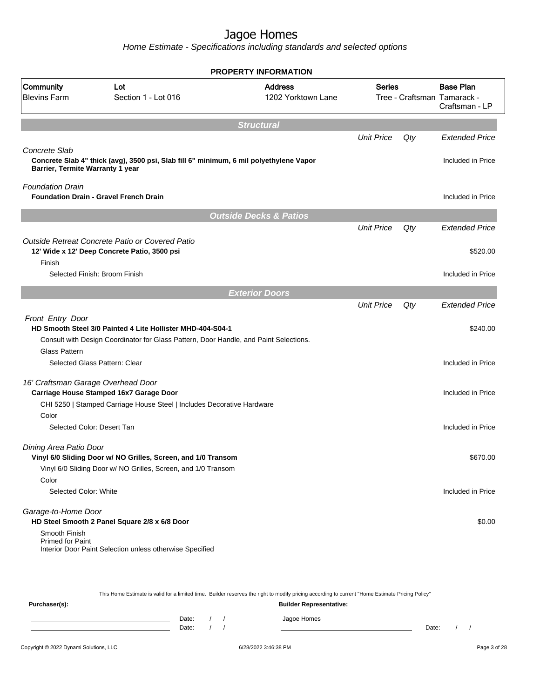|                                                          | <b>PROPERTY INFORMATION</b>                                                                                                                                    |                                                                                                                                                                                                                                                                                                                                                                                                                                                                                                                         |                   |                                              |
|----------------------------------------------------------|----------------------------------------------------------------------------------------------------------------------------------------------------------------|-------------------------------------------------------------------------------------------------------------------------------------------------------------------------------------------------------------------------------------------------------------------------------------------------------------------------------------------------------------------------------------------------------------------------------------------------------------------------------------------------------------------------|-------------------|----------------------------------------------|
| Lot<br>Section 1 - Lot 016                               | <b>Address</b><br>1202 Yorktown Lane                                                                                                                           |                                                                                                                                                                                                                                                                                                                                                                                                                                                                                                                         |                   | <b>Base Plan</b><br>Craftsman - LP           |
|                                                          | <b>Structural</b>                                                                                                                                              |                                                                                                                                                                                                                                                                                                                                                                                                                                                                                                                         |                   |                                              |
|                                                          |                                                                                                                                                                | <b>Unit Price</b>                                                                                                                                                                                                                                                                                                                                                                                                                                                                                                       | Qty               | <b>Extended Price</b>                        |
|                                                          |                                                                                                                                                                |                                                                                                                                                                                                                                                                                                                                                                                                                                                                                                                         |                   | Included in Price                            |
| Barrier, Termite Warranty 1 year                         |                                                                                                                                                                |                                                                                                                                                                                                                                                                                                                                                                                                                                                                                                                         |                   |                                              |
|                                                          |                                                                                                                                                                |                                                                                                                                                                                                                                                                                                                                                                                                                                                                                                                         |                   |                                              |
| <b>Foundation Drain - Gravel French Drain</b>            |                                                                                                                                                                |                                                                                                                                                                                                                                                                                                                                                                                                                                                                                                                         |                   | Included in Price                            |
|                                                          |                                                                                                                                                                |                                                                                                                                                                                                                                                                                                                                                                                                                                                                                                                         |                   |                                              |
|                                                          |                                                                                                                                                                | <b>Unit Price</b>                                                                                                                                                                                                                                                                                                                                                                                                                                                                                                       | Qty               | <b>Extended Price</b>                        |
| Outside Retreat Concrete Patio or Covered Patio          |                                                                                                                                                                |                                                                                                                                                                                                                                                                                                                                                                                                                                                                                                                         |                   |                                              |
|                                                          |                                                                                                                                                                |                                                                                                                                                                                                                                                                                                                                                                                                                                                                                                                         |                   | \$520.00                                     |
|                                                          |                                                                                                                                                                |                                                                                                                                                                                                                                                                                                                                                                                                                                                                                                                         |                   | Included in Price                            |
|                                                          |                                                                                                                                                                |                                                                                                                                                                                                                                                                                                                                                                                                                                                                                                                         |                   |                                              |
|                                                          |                                                                                                                                                                |                                                                                                                                                                                                                                                                                                                                                                                                                                                                                                                         |                   |                                              |
|                                                          |                                                                                                                                                                |                                                                                                                                                                                                                                                                                                                                                                                                                                                                                                                         |                   | <b>Extended Price</b>                        |
|                                                          |                                                                                                                                                                |                                                                                                                                                                                                                                                                                                                                                                                                                                                                                                                         |                   | \$240.00                                     |
|                                                          |                                                                                                                                                                |                                                                                                                                                                                                                                                                                                                                                                                                                                                                                                                         |                   |                                              |
|                                                          |                                                                                                                                                                |                                                                                                                                                                                                                                                                                                                                                                                                                                                                                                                         |                   |                                              |
| Selected Glass Pattern: Clear                            |                                                                                                                                                                |                                                                                                                                                                                                                                                                                                                                                                                                                                                                                                                         |                   | Included in Price                            |
|                                                          |                                                                                                                                                                |                                                                                                                                                                                                                                                                                                                                                                                                                                                                                                                         |                   |                                              |
|                                                          |                                                                                                                                                                |                                                                                                                                                                                                                                                                                                                                                                                                                                                                                                                         |                   | Included in Price                            |
|                                                          |                                                                                                                                                                |                                                                                                                                                                                                                                                                                                                                                                                                                                                                                                                         |                   |                                              |
|                                                          |                                                                                                                                                                |                                                                                                                                                                                                                                                                                                                                                                                                                                                                                                                         |                   |                                              |
| Selected Color: Desert Tan                               |                                                                                                                                                                |                                                                                                                                                                                                                                                                                                                                                                                                                                                                                                                         |                   | Included in Price                            |
| Dining Area Patio Door                                   |                                                                                                                                                                |                                                                                                                                                                                                                                                                                                                                                                                                                                                                                                                         |                   |                                              |
|                                                          |                                                                                                                                                                |                                                                                                                                                                                                                                                                                                                                                                                                                                                                                                                         |                   | \$670.00                                     |
|                                                          |                                                                                                                                                                |                                                                                                                                                                                                                                                                                                                                                                                                                                                                                                                         |                   |                                              |
|                                                          |                                                                                                                                                                |                                                                                                                                                                                                                                                                                                                                                                                                                                                                                                                         |                   |                                              |
| Selected Color: White                                    |                                                                                                                                                                |                                                                                                                                                                                                                                                                                                                                                                                                                                                                                                                         |                   | Included in Price                            |
| Garage-to-Home Door                                      |                                                                                                                                                                |                                                                                                                                                                                                                                                                                                                                                                                                                                                                                                                         |                   |                                              |
| HD Steel Smooth 2 Panel Square 2/8 x 6/8 Door            |                                                                                                                                                                |                                                                                                                                                                                                                                                                                                                                                                                                                                                                                                                         |                   | \$0.00                                       |
| Interior Door Paint Selection unless otherwise Specified |                                                                                                                                                                |                                                                                                                                                                                                                                                                                                                                                                                                                                                                                                                         |                   |                                              |
|                                                          | 12' Wide x 12' Deep Concrete Patio, 3500 psi<br>Selected Finish: Broom Finish<br>16' Craftsman Garage Overhead Door<br>Carriage House Stamped 16x7 Garage Door | Concrete Slab 4" thick (avg), 3500 psi, Slab fill 6" minimum, 6 mil polyethylene Vapor<br><b>Outside Decks &amp; Patios</b><br><b>Exterior Doors</b><br>HD Smooth Steel 3/0 Painted 4 Lite Hollister MHD-404-S04-1<br>Consult with Design Coordinator for Glass Pattern, Door Handle, and Paint Selections.<br>CHI 5250   Stamped Carriage House Steel   Includes Decorative Hardware<br>Vinyl 6/0 Sliding Door w/ NO Grilles, Screen, and 1/0 Transom<br>Vinyl 6/0 Sliding Door w/ NO Grilles, Screen, and 1/0 Transom | <b>Unit Price</b> | Series<br>Tree - Craftsman Tamarack -<br>Qty |

|               |                                |       |  |  | This Home Estimate is valid for a limited time. Builder reserves the right to modify pricing according to current "Home Estimate Pricing Policy" |       |  |  |
|---------------|--------------------------------|-------|--|--|--------------------------------------------------------------------------------------------------------------------------------------------------|-------|--|--|
| Purchaser(s): | <b>Builder Representative:</b> |       |  |  |                                                                                                                                                  |       |  |  |
|               |                                | Date: |  |  | Jagoe Homes                                                                                                                                      |       |  |  |
|               |                                | Date: |  |  |                                                                                                                                                  | Date: |  |  |
|               |                                |       |  |  |                                                                                                                                                  |       |  |  |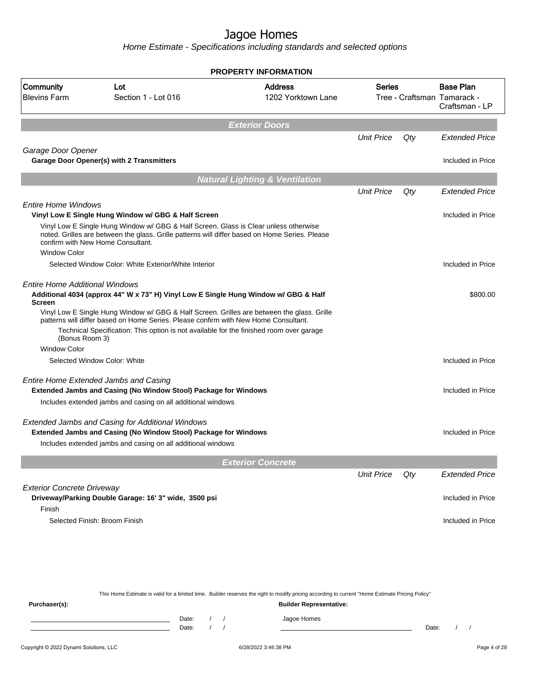|                                                        |                                                                                                                                                                                                                                                                              | <b>PROPERTY INFORMATION</b>               |                   |       |                                                                   |
|--------------------------------------------------------|------------------------------------------------------------------------------------------------------------------------------------------------------------------------------------------------------------------------------------------------------------------------------|-------------------------------------------|-------------------|-------|-------------------------------------------------------------------|
| Community<br><b>Blevins Farm</b>                       | Lot<br>Section 1 - Lot 016                                                                                                                                                                                                                                                   | <b>Address</b><br>1202 Yorktown Lane      | <b>Series</b>     |       | <b>Base Plan</b><br>Tree - Craftsman Tamarack -<br>Craftsman - LP |
|                                                        |                                                                                                                                                                                                                                                                              | <b>Exterior Doors</b>                     |                   |       |                                                                   |
|                                                        |                                                                                                                                                                                                                                                                              |                                           | <b>Unit Price</b> | Qty   | <b>Extended Price</b>                                             |
| Garage Door Opener                                     | <b>Garage Door Opener(s) with 2 Transmitters</b>                                                                                                                                                                                                                             |                                           |                   |       |                                                                   |
|                                                        |                                                                                                                                                                                                                                                                              |                                           |                   |       | Included in Price                                                 |
|                                                        |                                                                                                                                                                                                                                                                              | <b>Natural Lighting &amp; Ventilation</b> |                   |       |                                                                   |
|                                                        |                                                                                                                                                                                                                                                                              |                                           | <b>Unit Price</b> | Qty   | <b>Extended Price</b>                                             |
| <b>Entire Home Windows</b>                             |                                                                                                                                                                                                                                                                              |                                           |                   |       |                                                                   |
|                                                        | Vinyl Low E Single Hung Window w/ GBG & Half Screen                                                                                                                                                                                                                          |                                           |                   |       | Included in Price                                                 |
| <b>Window Color</b>                                    | Vinyl Low E Single Hung Window w/ GBG & Half Screen. Glass is Clear unless otherwise<br>noted. Grilles are between the glass. Grille patterns will differ based on Home Series. Please<br>confirm with New Home Consultant.                                                  |                                           |                   |       |                                                                   |
|                                                        | Selected Window Color: White Exterior/White Interior                                                                                                                                                                                                                         |                                           |                   |       | Included in Price                                                 |
|                                                        |                                                                                                                                                                                                                                                                              |                                           |                   |       |                                                                   |
| <b>Entire Home Additional Windows</b><br><b>Screen</b> | Additional 4034 (approx 44" W x 73" H) Vinyl Low E Single Hung Window w/ GBG & Half                                                                                                                                                                                          |                                           |                   |       | \$800.00                                                          |
| (Bonus Room 3)                                         | Vinyl Low E Single Hung Window w/ GBG & Half Screen. Grilles are between the glass. Grille<br>patterns will differ based on Home Series. Please confirm with New Home Consultant.<br>Technical Specification: This option is not available for the finished room over garage |                                           |                   |       |                                                                   |
| <b>Window Color</b>                                    |                                                                                                                                                                                                                                                                              |                                           |                   |       |                                                                   |
|                                                        | Selected Window Color: White                                                                                                                                                                                                                                                 |                                           |                   |       | Included in Price                                                 |
|                                                        | <b>Entire Home Extended Jambs and Casing</b><br>Extended Jambs and Casing (No Window Stool) Package for Windows                                                                                                                                                              |                                           |                   |       | Included in Price                                                 |
|                                                        | Includes extended jambs and casing on all additional windows                                                                                                                                                                                                                 |                                           |                   |       |                                                                   |
|                                                        | <b>Extended Jambs and Casing for Additional Windows</b><br>Extended Jambs and Casing (No Window Stool) Package for Windows                                                                                                                                                   |                                           |                   |       | Included in Price                                                 |
|                                                        | Includes extended jambs and casing on all additional windows                                                                                                                                                                                                                 |                                           |                   |       |                                                                   |
|                                                        |                                                                                                                                                                                                                                                                              | <b>Exterior Concrete</b>                  |                   |       |                                                                   |
|                                                        |                                                                                                                                                                                                                                                                              |                                           | <b>Unit Price</b> | Qty   | <b>Extended Price</b>                                             |
| <b>Exterior Concrete Driveway</b>                      |                                                                                                                                                                                                                                                                              |                                           |                   |       |                                                                   |
| Finish                                                 | Driveway/Parking Double Garage: 16' 3" wide, 3500 psi                                                                                                                                                                                                                        |                                           |                   |       | Included in Price                                                 |
|                                                        | Selected Finish: Broom Finish                                                                                                                                                                                                                                                |                                           |                   |       | Included in Price                                                 |
| Purchaser(s):                                          | This Home Estimate is valid for a limited time. Builder reserves the right to modify pricing according to current "Home Estimate Pricing Policy"                                                                                                                             | <b>Builder Representative:</b>            |                   |       |                                                                   |
|                                                        | Date:<br>$\sqrt{ }$                                                                                                                                                                                                                                                          | Jagoe Homes                               |                   |       |                                                                   |
|                                                        | Date:                                                                                                                                                                                                                                                                        |                                           |                   | Date: |                                                                   |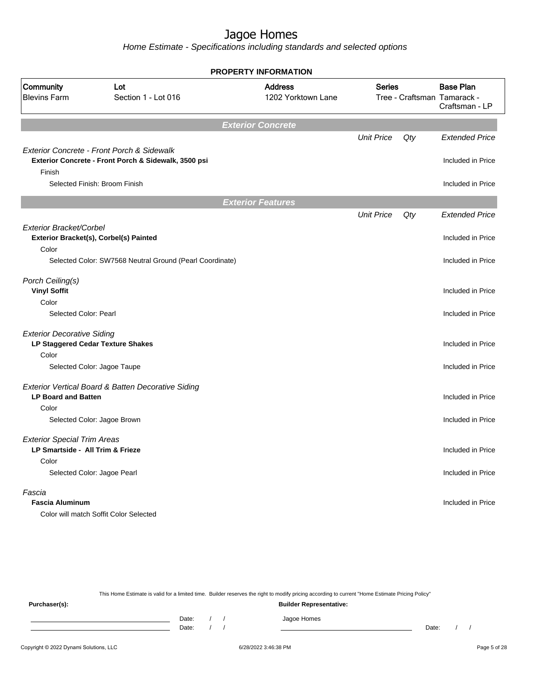Home Estimate - Specifications including standards and selected options

|                                                                                 | <b>PROPERTY INFORMATION</b>                              |                                      |                                              |     |                                    |  |  |  |
|---------------------------------------------------------------------------------|----------------------------------------------------------|--------------------------------------|----------------------------------------------|-----|------------------------------------|--|--|--|
| Community<br><b>Blevins Farm</b>                                                | Lot<br>Section 1 - Lot 016                               | <b>Address</b><br>1202 Yorktown Lane | <b>Series</b><br>Tree - Craftsman Tamarack - |     | <b>Base Plan</b><br>Craftsman - LP |  |  |  |
|                                                                                 |                                                          | <b>Exterior Concrete</b>             |                                              |     |                                    |  |  |  |
|                                                                                 | Exterior Concrete - Front Porch & Sidewalk               |                                      | <b>Unit Price</b>                            | Qty | <b>Extended Price</b>              |  |  |  |
| Finish                                                                          | Exterior Concrete - Front Porch & Sidewalk, 3500 psi     |                                      |                                              |     | Included in Price                  |  |  |  |
|                                                                                 | Selected Finish: Broom Finish                            |                                      |                                              |     | Included in Price                  |  |  |  |
|                                                                                 |                                                          | <b>Exterior Features</b>             |                                              |     |                                    |  |  |  |
|                                                                                 |                                                          |                                      | <b>Unit Price</b>                            | Qty | <b>Extended Price</b>              |  |  |  |
| Exterior Bracket/Corbel                                                         | Exterior Bracket(s), Corbel(s) Painted                   |                                      |                                              |     | Included in Price                  |  |  |  |
| Color                                                                           | Selected Color: SW7568 Neutral Ground (Pearl Coordinate) |                                      |                                              |     | Included in Price                  |  |  |  |
| Porch Ceiling(s)<br><b>Vinyl Soffit</b>                                         |                                                          |                                      |                                              |     | Included in Price                  |  |  |  |
| Color<br>Selected Color: Pearl                                                  |                                                          |                                      |                                              |     | Included in Price                  |  |  |  |
| <b>Exterior Decorative Siding</b><br>Color                                      | LP Staggered Cedar Texture Shakes                        |                                      |                                              |     | Included in Price                  |  |  |  |
|                                                                                 | Selected Color: Jagoe Taupe                              |                                      |                                              |     | Included in Price                  |  |  |  |
| <b>LP Board and Batten</b>                                                      | Exterior Vertical Board & Batten Decorative Siding       |                                      |                                              |     | Included in Price                  |  |  |  |
| Color                                                                           | Selected Color: Jagoe Brown                              |                                      |                                              |     | Included in Price                  |  |  |  |
| <b>Exterior Special Trim Areas</b><br>LP Smartside - All Trim & Frieze<br>Color |                                                          |                                      |                                              |     | Included in Price                  |  |  |  |
|                                                                                 | Selected Color: Jagoe Pearl                              |                                      |                                              |     | Included in Price                  |  |  |  |
| Fascia<br><b>Fascia Aluminum</b>                                                | Color will match Soffit Color Selected                   |                                      |                                              |     | Included in Price                  |  |  |  |

This Home Estimate is valid for a limited time. Builder reserves the right to modify pricing according to current "Home Estimate Pricing Policy" **Purchaser(s): Builder Representative:** Date: / / Jagoe Homes<br>Date: / / Jagoe Homes Date: / / **Date: / / 2006** Date: / / / Date: / / / Date: / / / 2006 Date: / / / 2006 Date: / / / 2006 Date: / / / 2006 Date: / / / 2007 Date: / / / 2007 Date: / / / 2007 Date: / / / 2007 Date: / / / 2007 Date: / / / 2007 D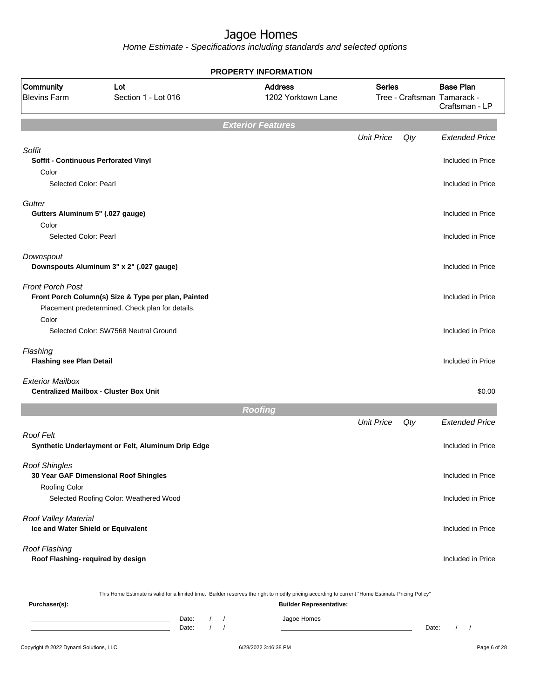Home Estimate - Specifications including standards and selected options

|                                                                          |                                                                                                         | <b>PROPERTY INFORMATION</b>                                                                                                                                                        |                   |     |                                                                   |
|--------------------------------------------------------------------------|---------------------------------------------------------------------------------------------------------|------------------------------------------------------------------------------------------------------------------------------------------------------------------------------------|-------------------|-----|-------------------------------------------------------------------|
| Community<br><b>Blevins Farm</b>                                         | Lot<br>Section 1 - Lot 016                                                                              | <b>Address</b><br>1202 Yorktown Lane                                                                                                                                               | <b>Series</b>     |     | <b>Base Plan</b><br>Tree - Craftsman Tamarack -<br>Craftsman - LP |
|                                                                          |                                                                                                         | <b>Exterior Features</b>                                                                                                                                                           |                   |     |                                                                   |
| Soffit<br>Soffit - Continuous Perforated Vinyl<br>Color                  |                                                                                                         |                                                                                                                                                                                    | <b>Unit Price</b> | Qty | <b>Extended Price</b><br>Included in Price                        |
| Selected Color: Pearl                                                    |                                                                                                         |                                                                                                                                                                                    |                   |     | Included in Price                                                 |
| Gutter<br>Gutters Aluminum 5" (.027 gauge)<br>Color                      |                                                                                                         |                                                                                                                                                                                    |                   |     | Included in Price                                                 |
| Selected Color: Pearl                                                    |                                                                                                         |                                                                                                                                                                                    |                   |     | Included in Price                                                 |
| Downspout                                                                | Downspouts Aluminum 3" x 2" (.027 gauge)                                                                |                                                                                                                                                                                    |                   |     | Included in Price                                                 |
| <b>Front Porch Post</b>                                                  | Front Porch Column(s) Size & Type per plan, Painted<br>Placement predetermined. Check plan for details. |                                                                                                                                                                                    |                   |     | Included in Price                                                 |
| Color                                                                    | Selected Color: SW7568 Neutral Ground                                                                   |                                                                                                                                                                                    |                   |     | Included in Price                                                 |
| Flashing<br><b>Flashing see Plan Detail</b>                              |                                                                                                         |                                                                                                                                                                                    |                   |     | Included in Price                                                 |
| <b>Exterior Mailbox</b><br><b>Centralized Mailbox - Cluster Box Unit</b> |                                                                                                         |                                                                                                                                                                                    |                   |     | \$0.00                                                            |
|                                                                          |                                                                                                         | <b>Roofing</b>                                                                                                                                                                     |                   |     |                                                                   |
|                                                                          |                                                                                                         |                                                                                                                                                                                    | <b>Unit Price</b> | Qty | <b>Extended Price</b>                                             |
| Roof Felt                                                                | Synthetic Underlayment or Felt, Aluminum Drip Edge                                                      |                                                                                                                                                                                    |                   |     | Included in Price                                                 |
| <b>Roof Shingles</b><br>30 Year GAF Dimensional Roof Shingles            |                                                                                                         |                                                                                                                                                                                    |                   |     | Included in Price                                                 |
| Roofing Color                                                            | Selected Roofing Color: Weathered Wood                                                                  |                                                                                                                                                                                    |                   |     | Included in Price                                                 |
| Roof Valley Material<br>Ice and Water Shield or Equivalent               |                                                                                                         |                                                                                                                                                                                    |                   |     | Included in Price                                                 |
| Roof Flashing<br>Roof Flashing- required by design                       |                                                                                                         |                                                                                                                                                                                    |                   |     | Included in Price                                                 |
| Purchaser(s):                                                            |                                                                                                         | This Home Estimate is valid for a limited time. Builder reserves the right to modify pricing according to current "Home Estimate Pricing Policy"<br><b>Builder Representative:</b> |                   |     |                                                                   |

Date: / / Jagoe Homes<br>Date: / / Jagoe Homes Date: / / Date: / /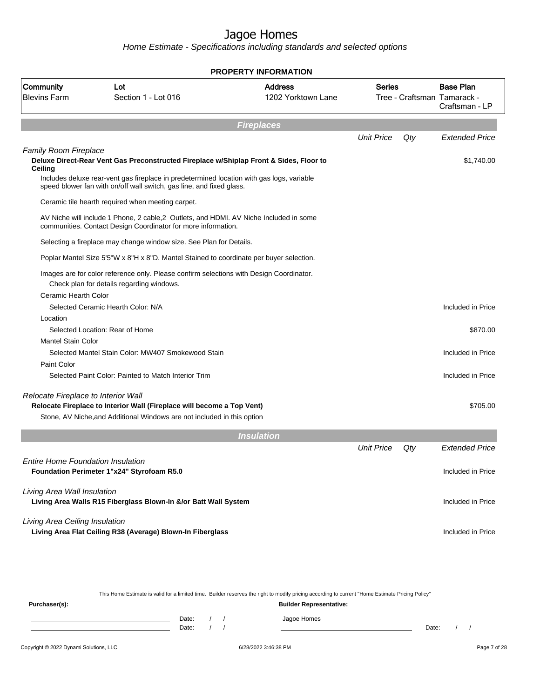Home Estimate - Specifications including standards and selected options

|                                          |                                                                                                                                                                                                                                                             | <b>PROPERTY INFORMATION</b>          |                   |     |                                                                   |
|------------------------------------------|-------------------------------------------------------------------------------------------------------------------------------------------------------------------------------------------------------------------------------------------------------------|--------------------------------------|-------------------|-----|-------------------------------------------------------------------|
| Community<br><b>Blevins Farm</b>         | Lot<br>Section 1 - Lot 016                                                                                                                                                                                                                                  | <b>Address</b><br>1202 Yorktown Lane | <b>Series</b>     |     | <b>Base Plan</b><br>Tree - Craftsman Tamarack -<br>Craftsman - LP |
|                                          |                                                                                                                                                                                                                                                             | <b>Fireplaces</b>                    |                   |     |                                                                   |
|                                          |                                                                                                                                                                                                                                                             |                                      | <b>Unit Price</b> | Qty | <b>Extended Price</b>                                             |
| <b>Family Room Fireplace</b><br>Ceiling  | Deluxe Direct-Rear Vent Gas Preconstructed Fireplace w/Shiplap Front & Sides, Floor to<br>Includes deluxe rear-vent gas fireplace in predetermined location with gas logs, variable<br>speed blower fan with on/off wall switch, gas line, and fixed glass. |                                      |                   |     | \$1,740.00                                                        |
|                                          | Ceramic tile hearth required when meeting carpet.                                                                                                                                                                                                           |                                      |                   |     |                                                                   |
|                                          | AV Niche will include 1 Phone, 2 cable, 2 Outlets, and HDMI. AV Niche Included in some<br>communities. Contact Design Coordinator for more information.                                                                                                     |                                      |                   |     |                                                                   |
|                                          | Selecting a fireplace may change window size. See Plan for Details.                                                                                                                                                                                         |                                      |                   |     |                                                                   |
|                                          | Poplar Mantel Size 5'5"W x 8"H x 8"D. Mantel Stained to coordinate per buyer selection.                                                                                                                                                                     |                                      |                   |     |                                                                   |
|                                          | Images are for color reference only. Please confirm selections with Design Coordinator.<br>Check plan for details regarding windows.                                                                                                                        |                                      |                   |     |                                                                   |
| Ceramic Hearth Color                     |                                                                                                                                                                                                                                                             |                                      |                   |     |                                                                   |
|                                          | Selected Ceramic Hearth Color: N/A                                                                                                                                                                                                                          |                                      |                   |     | Included in Price                                                 |
| Location                                 |                                                                                                                                                                                                                                                             |                                      |                   |     |                                                                   |
| <b>Mantel Stain Color</b>                | Selected Location: Rear of Home                                                                                                                                                                                                                             |                                      |                   |     | \$870.00                                                          |
|                                          | Selected Mantel Stain Color: MW407 Smokewood Stain                                                                                                                                                                                                          |                                      |                   |     | Included in Price                                                 |
| Paint Color                              |                                                                                                                                                                                                                                                             |                                      |                   |     |                                                                   |
|                                          | Selected Paint Color: Painted to Match Interior Trim                                                                                                                                                                                                        |                                      |                   |     | Included in Price                                                 |
| Relocate Fireplace to Interior Wall      | Relocate Fireplace to Interior Wall (Fireplace will become a Top Vent)<br>Stone, AV Niche, and Additional Windows are not included in this option                                                                                                           |                                      |                   |     | \$705.00                                                          |
|                                          |                                                                                                                                                                                                                                                             | <b>Insulation</b>                    |                   |     |                                                                   |
|                                          |                                                                                                                                                                                                                                                             |                                      | <b>Unit Price</b> | Qty | <b>Extended Price</b>                                             |
| <b>Entire Home Foundation Insulation</b> | Foundation Perimeter 1"x24" Styrofoam R5.0                                                                                                                                                                                                                  |                                      |                   |     | Included in Price                                                 |
| Living Area Wall Insulation              | Living Area Walls R15 Fiberglass Blown-In &/or Batt Wall System                                                                                                                                                                                             |                                      |                   |     | Included in Price                                                 |
| Living Area Ceiling Insulation           | Living Area Flat Ceiling R38 (Average) Blown-In Fiberglass                                                                                                                                                                                                  |                                      |                   |     | Included in Price                                                 |
|                                          |                                                                                                                                                                                                                                                             |                                      |                   |     |                                                                   |
|                                          |                                                                                                                                                                                                                                                             |                                      |                   |     |                                                                   |
|                                          |                                                                                                                                                                                                                                                             |                                      |                   |     |                                                                   |

This Home Estimate is valid for a limited time. Builder reserves the right to modify pricing according to current "Home Estimate Pricing Policy"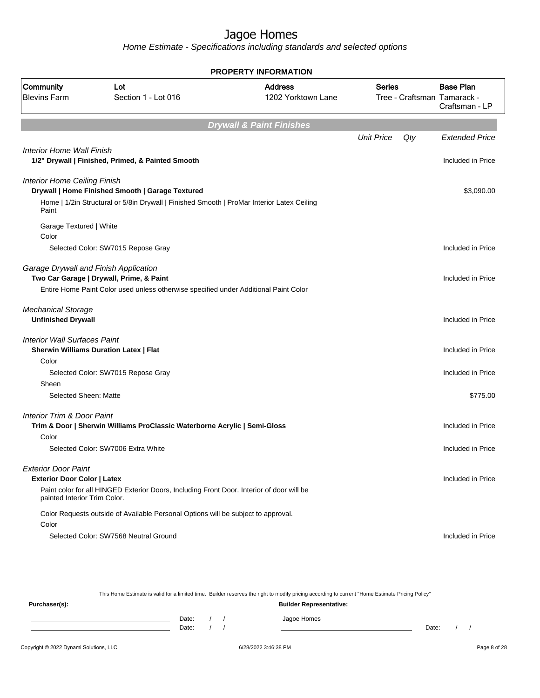Home Estimate - Specifications including standards and selected options

| <b>PROPERTY INFORMATION</b>                            |                                                                                            |                                      |                   |     |                                                                   |  |  |
|--------------------------------------------------------|--------------------------------------------------------------------------------------------|--------------------------------------|-------------------|-----|-------------------------------------------------------------------|--|--|
| Community<br><b>Blevins Farm</b>                       | Lot<br>Section 1 - Lot 016                                                                 | <b>Address</b><br>1202 Yorktown Lane | <b>Series</b>     |     | <b>Base Plan</b><br>Tree - Craftsman Tamarack -<br>Craftsman - LP |  |  |
|                                                        |                                                                                            | <b>Drywall &amp; Paint Finishes</b>  |                   |     |                                                                   |  |  |
|                                                        |                                                                                            |                                      | <b>Unit Price</b> | Qty | <b>Extended Price</b>                                             |  |  |
| <b>Interior Home Wall Finish</b>                       | 1/2" Drywall   Finished, Primed, & Painted Smooth                                          |                                      |                   |     | Included in Price                                                 |  |  |
| <b>Interior Home Ceiling Finish</b>                    |                                                                                            |                                      |                   |     |                                                                   |  |  |
|                                                        | Drywall   Home Finished Smooth   Garage Textured                                           |                                      |                   |     | \$3,090.00                                                        |  |  |
| Paint                                                  | Home   1/2in Structural or 5/8in Drywall   Finished Smooth   ProMar Interior Latex Ceiling |                                      |                   |     |                                                                   |  |  |
| Garage Textured   White<br>Color                       |                                                                                            |                                      |                   |     |                                                                   |  |  |
|                                                        | Selected Color: SW7015 Repose Gray                                                         |                                      |                   |     | Included in Price                                                 |  |  |
| Garage Drywall and Finish Application                  | Two Car Garage   Drywall, Prime, & Paint                                                   |                                      |                   |     | Included in Price                                                 |  |  |
|                                                        | Entire Home Paint Color used unless otherwise specified under Additional Paint Color       |                                      |                   |     |                                                                   |  |  |
| <b>Mechanical Storage</b><br><b>Unfinished Drywall</b> |                                                                                            |                                      |                   |     | Included in Price                                                 |  |  |
| <b>Interior Wall Surfaces Paint</b>                    | <b>Sherwin Williams Duration Latex   Flat</b>                                              |                                      |                   |     | Included in Price                                                 |  |  |
| Color                                                  |                                                                                            |                                      |                   |     |                                                                   |  |  |
|                                                        | Selected Color: SW7015 Repose Gray                                                         |                                      |                   |     | Included in Price                                                 |  |  |
| Sheen<br>Selected Sheen: Matte                         |                                                                                            |                                      |                   |     | \$775.00                                                          |  |  |
|                                                        |                                                                                            |                                      |                   |     |                                                                   |  |  |
| <b>Interior Trim &amp; Door Paint</b>                  | Trim & Door   Sherwin Williams ProClassic Waterborne Acrylic   Semi-Gloss                  |                                      |                   |     | Included in Price                                                 |  |  |
| Color                                                  |                                                                                            |                                      |                   |     |                                                                   |  |  |
|                                                        | Selected Color: SW7006 Extra White                                                         |                                      |                   |     | Included in Price                                                 |  |  |
| <b>Exterior Door Paint</b>                             |                                                                                            |                                      |                   |     |                                                                   |  |  |
| <b>Exterior Door Color   Latex</b>                     |                                                                                            |                                      |                   |     | Included in Price                                                 |  |  |
| painted Interior Trim Color.                           | Paint color for all HINGED Exterior Doors, Including Front Door. Interior of door will be  |                                      |                   |     |                                                                   |  |  |
|                                                        | Color Requests outside of Available Personal Options will be subject to approval.          |                                      |                   |     |                                                                   |  |  |
| Color                                                  |                                                                                            |                                      |                   |     |                                                                   |  |  |
|                                                        | Selected Color: SW7568 Neutral Ground                                                      |                                      |                   |     | Included in Price                                                 |  |  |
|                                                        |                                                                                            |                                      |                   |     |                                                                   |  |  |

This Home Estimate is valid for a limited time. Builder reserves the right to modify pricing according to current "Home Estimate Pricing Policy" **Purchaser(s): Builder Representative:** Date: / / Jagoe Homes<br>Date: / / Jagoe Homes Date: / / **Date: / / 2006** Date: / / / Date: / / / Date: / / / 2006 Date: / / / 2006 Date: / / / 2006 Date: / / / 2006 Date: / / / 2007 Date: / / / 2007 Date: / / / 2007 Date: / / / 2007 Date: / / / 2007 Date: / / / 2007 D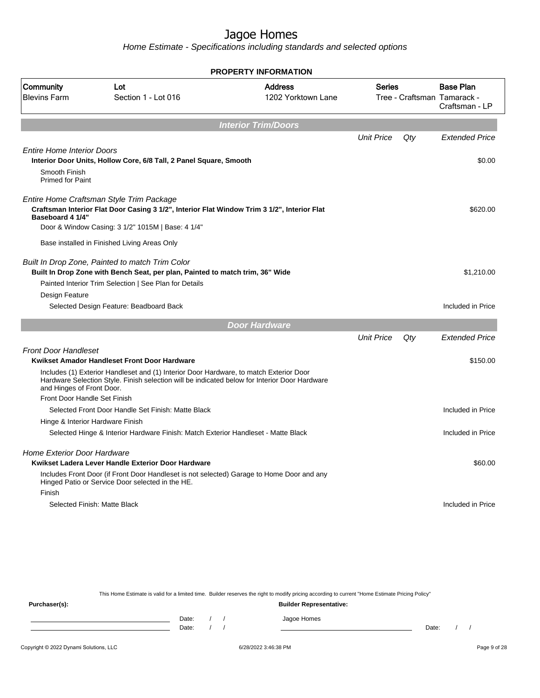Home Estimate - Specifications including standards and selected options

|                                                                        |                                                                                                                                                                                                                                            | <b>PROPERTY INFORMATION</b>          |                   |     |                                                                   |
|------------------------------------------------------------------------|--------------------------------------------------------------------------------------------------------------------------------------------------------------------------------------------------------------------------------------------|--------------------------------------|-------------------|-----|-------------------------------------------------------------------|
| Community<br><b>Blevins Farm</b>                                       | Lot<br>Section 1 - Lot 016                                                                                                                                                                                                                 | <b>Address</b><br>1202 Yorktown Lane | <b>Series</b>     |     | <b>Base Plan</b><br>Tree - Craftsman Tamarack -<br>Craftsman - LP |
|                                                                        |                                                                                                                                                                                                                                            | <b>Interior Trim/Doors</b>           |                   |     |                                                                   |
|                                                                        |                                                                                                                                                                                                                                            |                                      | <b>Unit Price</b> | Qty | <b>Extended Price</b>                                             |
| <b>Entire Home Interior Doors</b><br>Smooth Finish<br>Primed for Paint | Interior Door Units, Hollow Core, 6/8 Tall, 2 Panel Square, Smooth                                                                                                                                                                         |                                      |                   |     | \$0.00                                                            |
| Baseboard 4 1/4"                                                       | Entire Home Craftsman Style Trim Package<br>Craftsman Interior Flat Door Casing 3 1/2", Interior Flat Window Trim 3 1/2", Interior Flat<br>Door & Window Casing: 3 1/2" 1015M   Base: 4 1/4"                                               |                                      |                   |     | \$620.00                                                          |
| Design Feature                                                         | Base installed in Finished Living Areas Only<br>Built In Drop Zone, Painted to match Trim Color<br>Built In Drop Zone with Bench Seat, per plan, Painted to match trim, 36" Wide<br>Painted Interior Trim Selection   See Plan for Details |                                      |                   |     | \$1,210.00                                                        |
|                                                                        | Selected Design Feature: Beadboard Back                                                                                                                                                                                                    |                                      |                   |     | Included in Price                                                 |
|                                                                        |                                                                                                                                                                                                                                            | <b>Door Hardware</b>                 |                   |     |                                                                   |
|                                                                        |                                                                                                                                                                                                                                            |                                      | <b>Unit Price</b> | Qty | <b>Extended Price</b>                                             |
| <b>Front Door Handleset</b><br>and Hinges of Front Door.               | Kwikset Amador Handleset Front Door Hardware<br>Includes (1) Exterior Handleset and (1) Interior Door Hardware, to match Exterior Door<br>Hardware Selection Style. Finish selection will be indicated below for Interior Door Hardware    |                                      |                   |     | \$150.00                                                          |
| Front Door Handle Set Finish                                           |                                                                                                                                                                                                                                            |                                      |                   |     |                                                                   |
|                                                                        | Selected Front Door Handle Set Finish: Matte Black                                                                                                                                                                                         |                                      |                   |     | Included in Price                                                 |
|                                                                        | Hinge & Interior Hardware Finish<br>Selected Hinge & Interior Hardware Finish: Match Exterior Handleset - Matte Black                                                                                                                      |                                      |                   |     | Included in Price                                                 |
| <b>Home Exterior Door Hardware</b><br>Finish                           | Kwikset Ladera Lever Handle Exterior Door Hardware<br>Includes Front Door (if Front Door Handleset is not selected) Garage to Home Door and any<br>Hinged Patio or Service Door selected in the HE.                                        |                                      |                   |     | \$60.00                                                           |
|                                                                        | Selected Finish: Matte Black                                                                                                                                                                                                               |                                      |                   |     | Included in Price                                                 |
|                                                                        |                                                                                                                                                                                                                                            |                                      |                   |     |                                                                   |

This Home Estimate is valid for a limited time. Builder reserves the right to modify pricing according to current "Home Estimate Pricing Policy" **Purchaser(s): Builder Representative:** Date: / / Jagoe Homes<br>Date: / / Jagoe Homes Date: / / **Date: / / 2006** Date: / / / Date: / / / Date: / / / 2006 Date: / / / 2006 Date: / / / 2006 Date: / / / 2006 Date: / / / 2007 Date: / / / 2007 Date: / / / 2007 Date: / / / 2007 Date: / / / 2007 Date: / / / 2007 D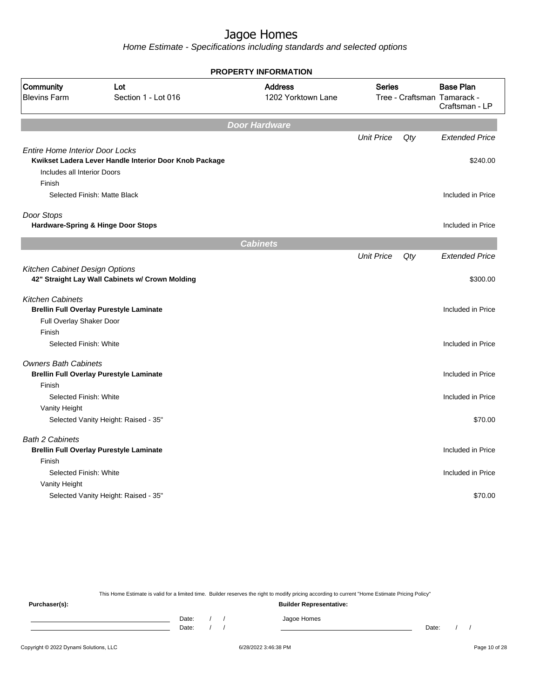Home Estimate - Specifications including standards and selected options

|                                                                                 |                                                        | <b>PROPERTY INFORMATION</b>          |                   |     |                                                 |
|---------------------------------------------------------------------------------|--------------------------------------------------------|--------------------------------------|-------------------|-----|-------------------------------------------------|
| Community<br><b>Blevins Farm</b>                                                | Lot<br>Section 1 - Lot 016                             | <b>Address</b><br>1202 Yorktown Lane | <b>Series</b>     |     | <b>Base Plan</b><br>Tree - Craftsman Tamarack - |
|                                                                                 |                                                        |                                      |                   |     | Craftsman - LP                                  |
|                                                                                 |                                                        | <b>Door Hardware</b>                 |                   |     |                                                 |
|                                                                                 |                                                        |                                      | <b>Unit Price</b> | Qty | <b>Extended Price</b>                           |
| <b>Entire Home Interior Door Locks</b><br>Includes all Interior Doors<br>Finish | Kwikset Ladera Lever Handle Interior Door Knob Package |                                      |                   |     | \$240.00                                        |
|                                                                                 | Selected Finish: Matte Black                           |                                      |                   |     | Included in Price                               |
|                                                                                 |                                                        |                                      |                   |     |                                                 |
| Door Stops                                                                      | <b>Hardware-Spring &amp; Hinge Door Stops</b>          |                                      |                   |     | Included in Price                               |
|                                                                                 |                                                        | <b>Cabinets</b>                      |                   |     |                                                 |
|                                                                                 |                                                        |                                      | <b>Unit Price</b> | Qty | <b>Extended Price</b>                           |
| Kitchen Cabinet Design Options                                                  | 42" Straight Lay Wall Cabinets w/ Crown Molding        |                                      |                   |     | \$300.00                                        |
| <b>Kitchen Cabinets</b><br>Full Overlay Shaker Door                             | <b>Brellin Full Overlay Purestyle Laminate</b>         |                                      |                   |     | Included in Price                               |
| Finish<br>Selected Finish: White                                                |                                                        |                                      |                   |     | Included in Price                               |
|                                                                                 |                                                        |                                      |                   |     |                                                 |
| <b>Owners Bath Cabinets</b><br>Finish                                           | <b>Brellin Full Overlay Purestyle Laminate</b>         |                                      |                   |     | Included in Price                               |
| Selected Finish: White                                                          |                                                        |                                      |                   |     | Included in Price                               |
| Vanity Height                                                                   |                                                        |                                      |                   |     |                                                 |
|                                                                                 | Selected Vanity Height: Raised - 35"                   |                                      |                   |     | \$70.00                                         |
| <b>Bath 2 Cabinets</b>                                                          | <b>Brellin Full Overlay Purestyle Laminate</b>         |                                      |                   |     | Included in Price                               |
| Finish                                                                          |                                                        |                                      |                   |     |                                                 |
| Selected Finish: White                                                          |                                                        |                                      |                   |     | Included in Price                               |
| Vanity Height                                                                   |                                                        |                                      |                   |     | \$70.00                                         |
|                                                                                 | Selected Vanity Height: Raised - 35"                   |                                      |                   |     |                                                 |

This Home Estimate is valid for a limited time. Builder reserves the right to modify pricing according to current "Home Estimate Pricing Policy"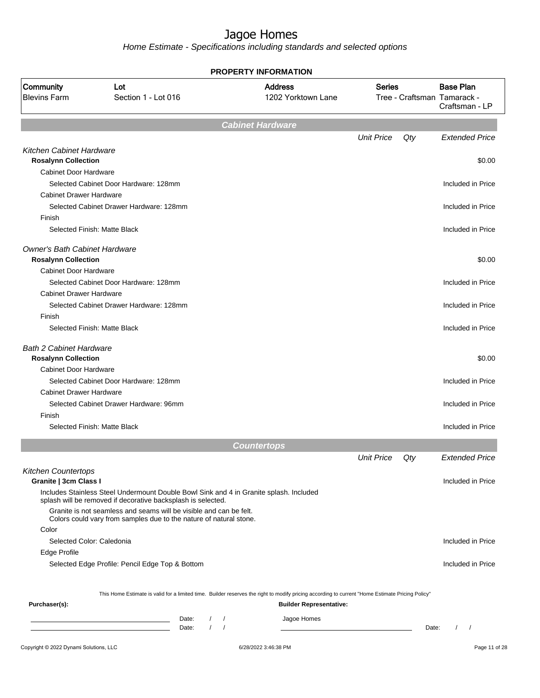|                                                              |                                                                                                                                    |                          | <b>PROPERTY INFORMATION</b>                                                                                                                      |                   |     |                                                                   |
|--------------------------------------------------------------|------------------------------------------------------------------------------------------------------------------------------------|--------------------------|--------------------------------------------------------------------------------------------------------------------------------------------------|-------------------|-----|-------------------------------------------------------------------|
| Community<br><b>Blevins Farm</b>                             | Lot<br>Section 1 - Lot 016                                                                                                         |                          | <b>Address</b><br>1202 Yorktown Lane                                                                                                             | <b>Series</b>     |     | <b>Base Plan</b><br>Tree - Craftsman Tamarack -<br>Craftsman - LP |
|                                                              |                                                                                                                                    |                          | <b>Cabinet Hardware</b>                                                                                                                          |                   |     |                                                                   |
|                                                              |                                                                                                                                    |                          |                                                                                                                                                  | <b>Unit Price</b> | Qty | <b>Extended Price</b>                                             |
| Kitchen Cabinet Hardware                                     |                                                                                                                                    |                          |                                                                                                                                                  |                   |     |                                                                   |
| <b>Rosalynn Collection</b>                                   |                                                                                                                                    |                          |                                                                                                                                                  |                   |     | \$0.00                                                            |
| Cabinet Door Hardware                                        |                                                                                                                                    |                          |                                                                                                                                                  |                   |     |                                                                   |
|                                                              | Selected Cabinet Door Hardware: 128mm                                                                                              |                          |                                                                                                                                                  |                   |     | Included in Price                                                 |
| <b>Cabinet Drawer Hardware</b>                               |                                                                                                                                    |                          |                                                                                                                                                  |                   |     |                                                                   |
|                                                              | Selected Cabinet Drawer Hardware: 128mm                                                                                            |                          |                                                                                                                                                  |                   |     | Included in Price                                                 |
| Finish                                                       |                                                                                                                                    |                          |                                                                                                                                                  |                   |     |                                                                   |
|                                                              | Selected Finish: Matte Black                                                                                                       |                          |                                                                                                                                                  |                   |     | Included in Price                                                 |
| <b>Owner's Bath Cabinet Hardware</b>                         |                                                                                                                                    |                          |                                                                                                                                                  |                   |     |                                                                   |
| <b>Rosalynn Collection</b>                                   |                                                                                                                                    |                          |                                                                                                                                                  |                   |     | \$0.00                                                            |
| <b>Cabinet Door Hardware</b>                                 |                                                                                                                                    |                          |                                                                                                                                                  |                   |     |                                                                   |
|                                                              | Selected Cabinet Door Hardware: 128mm                                                                                              |                          |                                                                                                                                                  |                   |     | Included in Price                                                 |
| <b>Cabinet Drawer Hardware</b>                               |                                                                                                                                    |                          |                                                                                                                                                  |                   |     |                                                                   |
|                                                              | Selected Cabinet Drawer Hardware: 128mm                                                                                            |                          |                                                                                                                                                  |                   |     | Included in Price                                                 |
| Finish                                                       |                                                                                                                                    |                          |                                                                                                                                                  |                   |     |                                                                   |
|                                                              | Selected Finish: Matte Black                                                                                                       |                          |                                                                                                                                                  |                   |     | Included in Price                                                 |
|                                                              |                                                                                                                                    |                          |                                                                                                                                                  |                   |     |                                                                   |
| <b>Bath 2 Cabinet Hardware</b><br><b>Rosalynn Collection</b> |                                                                                                                                    |                          |                                                                                                                                                  |                   |     | \$0.00                                                            |
| <b>Cabinet Door Hardware</b>                                 |                                                                                                                                    |                          |                                                                                                                                                  |                   |     |                                                                   |
|                                                              | Selected Cabinet Door Hardware: 128mm                                                                                              |                          |                                                                                                                                                  |                   |     | Included in Price                                                 |
| <b>Cabinet Drawer Hardware</b>                               |                                                                                                                                    |                          |                                                                                                                                                  |                   |     |                                                                   |
|                                                              | Selected Cabinet Drawer Hardware: 96mm                                                                                             |                          |                                                                                                                                                  |                   |     | Included in Price                                                 |
| Finish                                                       |                                                                                                                                    |                          |                                                                                                                                                  |                   |     |                                                                   |
|                                                              | Selected Finish: Matte Black                                                                                                       |                          |                                                                                                                                                  |                   |     | Included in Price                                                 |
|                                                              |                                                                                                                                    |                          | <b>Countertops</b>                                                                                                                               |                   |     |                                                                   |
|                                                              |                                                                                                                                    |                          |                                                                                                                                                  | <b>Unit Price</b> | Qty | <b>Extended Price</b>                                             |
|                                                              |                                                                                                                                    |                          |                                                                                                                                                  |                   |     |                                                                   |
| <b>Kitchen Countertops</b><br>Granite   3cm Class I          |                                                                                                                                    |                          |                                                                                                                                                  |                   |     | Included in Price                                                 |
|                                                              | Includes Stainless Steel Undermount Double Bowl Sink and 4 in Granite splash. Included                                             |                          |                                                                                                                                                  |                   |     |                                                                   |
|                                                              | splash will be removed if decorative backsplash is selected.<br>Granite is not seamless and seams will be visible and can be felt. |                          |                                                                                                                                                  |                   |     |                                                                   |
|                                                              | Colors could vary from samples due to the nature of natural stone.                                                                 |                          |                                                                                                                                                  |                   |     |                                                                   |
| Color                                                        |                                                                                                                                    |                          |                                                                                                                                                  |                   |     |                                                                   |
| Selected Color: Caledonia                                    |                                                                                                                                    |                          |                                                                                                                                                  |                   |     | Included in Price                                                 |
| Edge Profile                                                 |                                                                                                                                    |                          |                                                                                                                                                  |                   |     |                                                                   |
|                                                              | Selected Edge Profile: Pencil Edge Top & Bottom                                                                                    |                          |                                                                                                                                                  |                   |     | Included in Price                                                 |
|                                                              |                                                                                                                                    |                          | This Home Estimate is valid for a limited time. Builder reserves the right to modify pricing according to current "Home Estimate Pricing Policy" |                   |     |                                                                   |
| Purchaser(s):                                                |                                                                                                                                    |                          | <b>Builder Representative:</b>                                                                                                                   |                   |     |                                                                   |
|                                                              |                                                                                                                                    |                          |                                                                                                                                                  |                   |     |                                                                   |
|                                                              | Date:                                                                                                                              | $\overline{\phantom{a}}$ | Jagoe Homes                                                                                                                                      |                   |     |                                                                   |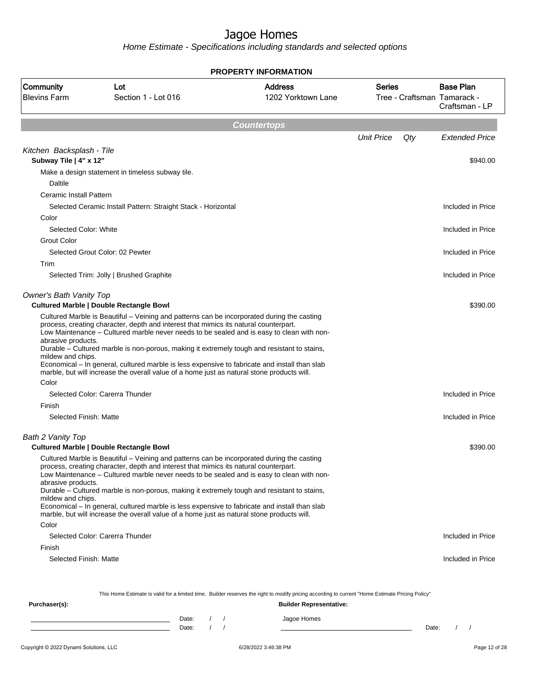|                                                                |                                                                                                                                                                                                                                                                                                                                                                                                                                                                                                                                                                                                                                 | <b>PROPERTY INFORMATION</b>                   |                                              |                                    |
|----------------------------------------------------------------|---------------------------------------------------------------------------------------------------------------------------------------------------------------------------------------------------------------------------------------------------------------------------------------------------------------------------------------------------------------------------------------------------------------------------------------------------------------------------------------------------------------------------------------------------------------------------------------------------------------------------------|-----------------------------------------------|----------------------------------------------|------------------------------------|
| <b>Community</b><br><b>Blevins Farm</b>                        | Lot<br>Section 1 - Lot 016                                                                                                                                                                                                                                                                                                                                                                                                                                                                                                                                                                                                      | <b>Address</b><br>1202 Yorktown Lane          | <b>Series</b><br>Tree - Craftsman Tamarack - | <b>Base Plan</b><br>Craftsman - LP |
|                                                                |                                                                                                                                                                                                                                                                                                                                                                                                                                                                                                                                                                                                                                 | <b>Countertops</b>                            |                                              |                                    |
|                                                                |                                                                                                                                                                                                                                                                                                                                                                                                                                                                                                                                                                                                                                 |                                               | <b>Unit Price</b><br>Qty                     | <b>Extended Price</b>              |
| Kitchen Backsplash - Tile<br>Subway Tile   4" x 12"<br>Daltile | Make a design statement in timeless subway tile.                                                                                                                                                                                                                                                                                                                                                                                                                                                                                                                                                                                |                                               |                                              | \$940.00                           |
| Ceramic Install Pattern                                        | Selected Ceramic Install Pattern: Straight Stack - Horizontal                                                                                                                                                                                                                                                                                                                                                                                                                                                                                                                                                                   |                                               |                                              | Included in Price                  |
| Color<br>Selected Color: White                                 |                                                                                                                                                                                                                                                                                                                                                                                                                                                                                                                                                                                                                                 |                                               |                                              | Included in Price                  |
| <b>Grout Color</b>                                             | Selected Grout Color: 02 Pewter                                                                                                                                                                                                                                                                                                                                                                                                                                                                                                                                                                                                 |                                               |                                              | Included in Price                  |
| Trim                                                           | Selected Trim: Jolly   Brushed Graphite                                                                                                                                                                                                                                                                                                                                                                                                                                                                                                                                                                                         |                                               |                                              | Included in Price                  |
| Owner's Bath Vanity Top                                        | <b>Cultured Marble   Double Rectangle Bowl</b>                                                                                                                                                                                                                                                                                                                                                                                                                                                                                                                                                                                  |                                               |                                              | \$390.00                           |
| abrasive products.<br>mildew and chips.<br>Color               | process, creating character, depth and interest that mimics its natural counterpart.<br>Low Maintenance - Cultured marble never needs to be sealed and is easy to clean with non-<br>Durable - Cultured marble is non-porous, making it extremely tough and resistant to stains,<br>Economical – In general, cultured marble is less expensive to fabricate and install than slab<br>marble, but will increase the overall value of a home just as natural stone products will.                                                                                                                                                 |                                               |                                              |                                    |
| Finish                                                         | Selected Color: Carerra Thunder                                                                                                                                                                                                                                                                                                                                                                                                                                                                                                                                                                                                 |                                               |                                              | Included in Price                  |
| Selected Finish: Matte                                         |                                                                                                                                                                                                                                                                                                                                                                                                                                                                                                                                                                                                                                 |                                               |                                              | Included in Price                  |
| Bath 2 Vanity Top                                              |                                                                                                                                                                                                                                                                                                                                                                                                                                                                                                                                                                                                                                 |                                               |                                              |                                    |
| abrasive products.<br>mildew and chips.<br>Color               | <b>Cultured Marble   Double Rectangle Bowl</b><br>Cultured Marble is Beautiful – Veining and patterns can be incorporated during the casting<br>process, creating character, depth and interest that mimics its natural counterpart.<br>Low Maintenance - Cultured marble never needs to be sealed and is easy to clean with non-<br>Durable - Cultured marble is non-porous, making it extremely tough and resistant to stains,<br>Economical - In general, cultured marble is less expensive to fabricate and install than slab<br>marble, but will increase the overall value of a home just as natural stone products will. |                                               |                                              | \$390.00                           |
|                                                                | Selected Color: Carerra Thunder                                                                                                                                                                                                                                                                                                                                                                                                                                                                                                                                                                                                 |                                               |                                              | Included in Price                  |
| Finish<br>Selected Finish: Matte                               |                                                                                                                                                                                                                                                                                                                                                                                                                                                                                                                                                                                                                                 |                                               |                                              | Included in Price                  |
|                                                                | This Home Estimate is valid for a limited time. Builder reserves the right to modify pricing according to current "Home Estimate Pricing Policy"                                                                                                                                                                                                                                                                                                                                                                                                                                                                                |                                               |                                              |                                    |
| Purchaser(s):                                                  | Date:<br>$\left  \right $<br>$\sqrt{1}$<br>Date:                                                                                                                                                                                                                                                                                                                                                                                                                                                                                                                                                                                | <b>Builder Representative:</b><br>Jagoe Homes | Date:                                        | $\sqrt{2}$                         |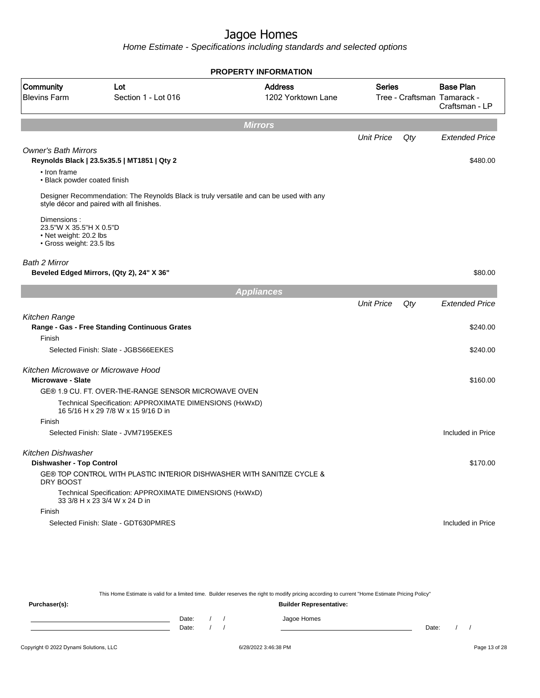Home Estimate - Specifications including standards and selected options

| Community<br><b>Address</b><br>Lot<br><b>Blevins Farm</b><br>Section 1 - Lot 016<br>1202 Yorktown Lane<br><b>Mirrors</b><br><b>Owner's Bath Mirrors</b><br>Reynolds Black   23.5x35.5   MT1851   Qty 2<br>• Iron frame<br>• Black powder coated finish<br>Designer Recommendation: The Reynolds Black is truly versatile and can be used with any<br>style décor and paired with all finishes.<br>Dimensions:<br>23.5"W X 35.5"H X 0.5"D<br>• Net weight: 20.2 lbs<br>· Gross weight: 23.5 lbs<br>Beveled Edged Mirrors, (Qty 2), 24" X 36"<br><b>Appliances</b><br>Range - Gas - Free Standing Continuous Grates<br>Finish<br>Selected Finish: Slate - JGBS66EEKES<br><b>Microwave - Slate</b><br>GE® 1.9 CU. FT. OVER-THE-RANGE SENSOR MICROWAVE OVEN<br>Technical Specification: APPROXIMATE DIMENSIONS (HxWxD)<br>16 5/16 H x 29 7/8 W x 15 9/16 D in<br>Finish<br>Selected Finish: Slate - JVM7195EKES<br><b>Dishwasher - Top Control</b><br>GE® TOP CONTROL WITH PLASTIC INTERIOR DISHWASHER WITH SANITIZE CYCLE &<br>DRY BOOST<br>Technical Specification: APPROXIMATE DIMENSIONS (HxWxD)<br>33 3/8 H x 23 3/4 W x 24 D in |                   |     |                                                                   |
|-----------------------------------------------------------------------------------------------------------------------------------------------------------------------------------------------------------------------------------------------------------------------------------------------------------------------------------------------------------------------------------------------------------------------------------------------------------------------------------------------------------------------------------------------------------------------------------------------------------------------------------------------------------------------------------------------------------------------------------------------------------------------------------------------------------------------------------------------------------------------------------------------------------------------------------------------------------------------------------------------------------------------------------------------------------------------------------------------------------------------------------|-------------------|-----|-------------------------------------------------------------------|
| Bath 2 Mirror<br>Kitchen Range<br>Kitchen Microwave or Microwave Hood<br>Kitchen Dishwasher                                                                                                                                                                                                                                                                                                                                                                                                                                                                                                                                                                                                                                                                                                                                                                                                                                                                                                                                                                                                                                       | <b>Series</b>     |     | <b>Base Plan</b><br>Tree - Craftsman Tamarack -<br>Craftsman - LP |
|                                                                                                                                                                                                                                                                                                                                                                                                                                                                                                                                                                                                                                                                                                                                                                                                                                                                                                                                                                                                                                                                                                                                   |                   |     |                                                                   |
|                                                                                                                                                                                                                                                                                                                                                                                                                                                                                                                                                                                                                                                                                                                                                                                                                                                                                                                                                                                                                                                                                                                                   | <b>Unit Price</b> | Qty | <b>Extended Price</b>                                             |
|                                                                                                                                                                                                                                                                                                                                                                                                                                                                                                                                                                                                                                                                                                                                                                                                                                                                                                                                                                                                                                                                                                                                   |                   |     | \$480.00                                                          |
|                                                                                                                                                                                                                                                                                                                                                                                                                                                                                                                                                                                                                                                                                                                                                                                                                                                                                                                                                                                                                                                                                                                                   |                   |     |                                                                   |
|                                                                                                                                                                                                                                                                                                                                                                                                                                                                                                                                                                                                                                                                                                                                                                                                                                                                                                                                                                                                                                                                                                                                   |                   |     |                                                                   |
|                                                                                                                                                                                                                                                                                                                                                                                                                                                                                                                                                                                                                                                                                                                                                                                                                                                                                                                                                                                                                                                                                                                                   |                   |     | \$80.00                                                           |
|                                                                                                                                                                                                                                                                                                                                                                                                                                                                                                                                                                                                                                                                                                                                                                                                                                                                                                                                                                                                                                                                                                                                   |                   |     |                                                                   |
|                                                                                                                                                                                                                                                                                                                                                                                                                                                                                                                                                                                                                                                                                                                                                                                                                                                                                                                                                                                                                                                                                                                                   | <b>Unit Price</b> | Qty | <b>Extended Price</b>                                             |
|                                                                                                                                                                                                                                                                                                                                                                                                                                                                                                                                                                                                                                                                                                                                                                                                                                                                                                                                                                                                                                                                                                                                   |                   |     | \$240.00                                                          |
|                                                                                                                                                                                                                                                                                                                                                                                                                                                                                                                                                                                                                                                                                                                                                                                                                                                                                                                                                                                                                                                                                                                                   |                   |     | \$240.00                                                          |
|                                                                                                                                                                                                                                                                                                                                                                                                                                                                                                                                                                                                                                                                                                                                                                                                                                                                                                                                                                                                                                                                                                                                   |                   |     |                                                                   |
|                                                                                                                                                                                                                                                                                                                                                                                                                                                                                                                                                                                                                                                                                                                                                                                                                                                                                                                                                                                                                                                                                                                                   |                   |     | \$160.00                                                          |
|                                                                                                                                                                                                                                                                                                                                                                                                                                                                                                                                                                                                                                                                                                                                                                                                                                                                                                                                                                                                                                                                                                                                   |                   |     |                                                                   |
|                                                                                                                                                                                                                                                                                                                                                                                                                                                                                                                                                                                                                                                                                                                                                                                                                                                                                                                                                                                                                                                                                                                                   |                   |     |                                                                   |
|                                                                                                                                                                                                                                                                                                                                                                                                                                                                                                                                                                                                                                                                                                                                                                                                                                                                                                                                                                                                                                                                                                                                   |                   |     | Included in Price                                                 |
|                                                                                                                                                                                                                                                                                                                                                                                                                                                                                                                                                                                                                                                                                                                                                                                                                                                                                                                                                                                                                                                                                                                                   |                   |     |                                                                   |
|                                                                                                                                                                                                                                                                                                                                                                                                                                                                                                                                                                                                                                                                                                                                                                                                                                                                                                                                                                                                                                                                                                                                   |                   |     | \$170.00                                                          |
|                                                                                                                                                                                                                                                                                                                                                                                                                                                                                                                                                                                                                                                                                                                                                                                                                                                                                                                                                                                                                                                                                                                                   |                   |     |                                                                   |
|                                                                                                                                                                                                                                                                                                                                                                                                                                                                                                                                                                                                                                                                                                                                                                                                                                                                                                                                                                                                                                                                                                                                   |                   |     |                                                                   |
| Finish<br>Selected Finish: Slate - GDT630PMRES                                                                                                                                                                                                                                                                                                                                                                                                                                                                                                                                                                                                                                                                                                                                                                                                                                                                                                                                                                                                                                                                                    |                   |     | Included in Price                                                 |
|                                                                                                                                                                                                                                                                                                                                                                                                                                                                                                                                                                                                                                                                                                                                                                                                                                                                                                                                                                                                                                                                                                                                   |                   |     |                                                                   |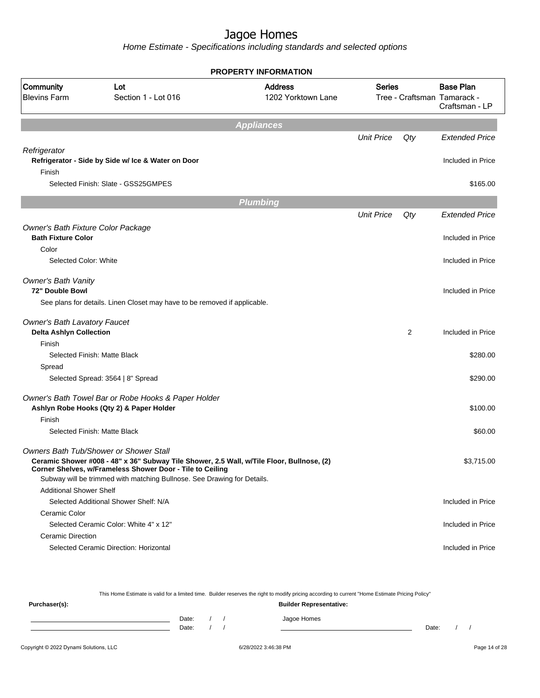|                                                                 |                                                                                                                                                        | <b>PROPERTY INFORMATION</b> |                   |     |                                               |
|-----------------------------------------------------------------|--------------------------------------------------------------------------------------------------------------------------------------------------------|-----------------------------|-------------------|-----|-----------------------------------------------|
| Community                                                       | Lot                                                                                                                                                    | <b>Address</b>              | <b>Series</b>     |     | <b>Base Plan</b>                              |
| <b>Blevins Farm</b>                                             | Section 1 - Lot 016                                                                                                                                    | 1202 Yorktown Lane          |                   |     | Tree - Craftsman Tamarack -<br>Craftsman - LP |
|                                                                 |                                                                                                                                                        | <b>Appliances</b>           |                   |     |                                               |
|                                                                 |                                                                                                                                                        |                             | <b>Unit Price</b> | Qty | <b>Extended Price</b>                         |
| Refrigerator                                                    |                                                                                                                                                        |                             |                   |     |                                               |
|                                                                 | Refrigerator - Side by Side w/ Ice & Water on Door                                                                                                     |                             |                   |     | Included in Price                             |
| Finish                                                          |                                                                                                                                                        |                             |                   |     |                                               |
|                                                                 | Selected Finish: Slate - GSS25GMPES                                                                                                                    |                             |                   |     | \$165.00                                      |
|                                                                 |                                                                                                                                                        |                             |                   |     |                                               |
|                                                                 |                                                                                                                                                        | <b>Plumbing</b>             |                   |     |                                               |
|                                                                 |                                                                                                                                                        |                             | <b>Unit Price</b> | Qty | <b>Extended Price</b>                         |
| Owner's Bath Fixture Color Package<br><b>Bath Fixture Color</b> |                                                                                                                                                        |                             |                   |     | Included in Price                             |
| Color                                                           |                                                                                                                                                        |                             |                   |     |                                               |
| Selected Color: White                                           |                                                                                                                                                        |                             |                   |     | Included in Price                             |
|                                                                 |                                                                                                                                                        |                             |                   |     |                                               |
| Owner's Bath Vanity                                             |                                                                                                                                                        |                             |                   |     |                                               |
| 72" Double Bowl                                                 |                                                                                                                                                        |                             |                   |     | Included in Price                             |
|                                                                 | See plans for details. Linen Closet may have to be removed if applicable.                                                                              |                             |                   |     |                                               |
| <b>Owner's Bath Lavatory Faucet</b>                             |                                                                                                                                                        |                             |                   |     |                                               |
| <b>Delta Ashlyn Collection</b>                                  |                                                                                                                                                        |                             |                   | 2   | Included in Price                             |
| Finish                                                          |                                                                                                                                                        |                             |                   |     |                                               |
|                                                                 | Selected Finish: Matte Black                                                                                                                           |                             |                   |     | \$280.00                                      |
| Spread                                                          |                                                                                                                                                        |                             |                   |     |                                               |
|                                                                 | Selected Spread: 3564   8" Spread                                                                                                                      |                             |                   |     | \$290.00                                      |
|                                                                 | Owner's Bath Towel Bar or Robe Hooks & Paper Holder                                                                                                    |                             |                   |     |                                               |
|                                                                 | Ashlyn Robe Hooks (Qty 2) & Paper Holder                                                                                                               |                             |                   |     | \$100.00                                      |
| Finish                                                          |                                                                                                                                                        |                             |                   |     |                                               |
|                                                                 | Selected Finish: Matte Black                                                                                                                           |                             |                   |     | \$60.00                                       |
|                                                                 | Owners Bath Tub/Shower or Shower Stall                                                                                                                 |                             |                   |     |                                               |
|                                                                 | Ceramic Shower #008 - 48" x 36" Subway Tile Shower, 2.5 Wall, w/Tile Floor, Bullnose, (2)<br>Corner Shelves, w/Frameless Shower Door - Tile to Ceiling |                             |                   |     | \$3,715.00                                    |
|                                                                 | Subway will be trimmed with matching Bullnose. See Drawing for Details.                                                                                |                             |                   |     |                                               |
| <b>Additional Shower Shelf</b>                                  |                                                                                                                                                        |                             |                   |     |                                               |
|                                                                 | Selected Additional Shower Shelf: N/A                                                                                                                  |                             |                   |     | Included in Price                             |
| Ceramic Color                                                   |                                                                                                                                                        |                             |                   |     |                                               |
|                                                                 | Selected Ceramic Color: White 4" x 12"                                                                                                                 |                             |                   |     | Included in Price                             |
| <b>Ceramic Direction</b>                                        |                                                                                                                                                        |                             |                   |     |                                               |
|                                                                 | Selected Ceramic Direction: Horizontal                                                                                                                 |                             |                   |     | Included in Price                             |
|                                                                 |                                                                                                                                                        |                             |                   |     |                                               |

|               |                                |       |  |  | This Home Estimate is valid for a limited time. Builder reserves the right to modify pricing according to current "Home Estimate Pricing Policy" |       |  |
|---------------|--------------------------------|-------|--|--|--------------------------------------------------------------------------------------------------------------------------------------------------|-------|--|
| Purchaser(s): | <b>Builder Representative:</b> |       |  |  |                                                                                                                                                  |       |  |
|               |                                | Date: |  |  | Jagoe Homes                                                                                                                                      |       |  |
|               |                                | Date: |  |  |                                                                                                                                                  | Date: |  |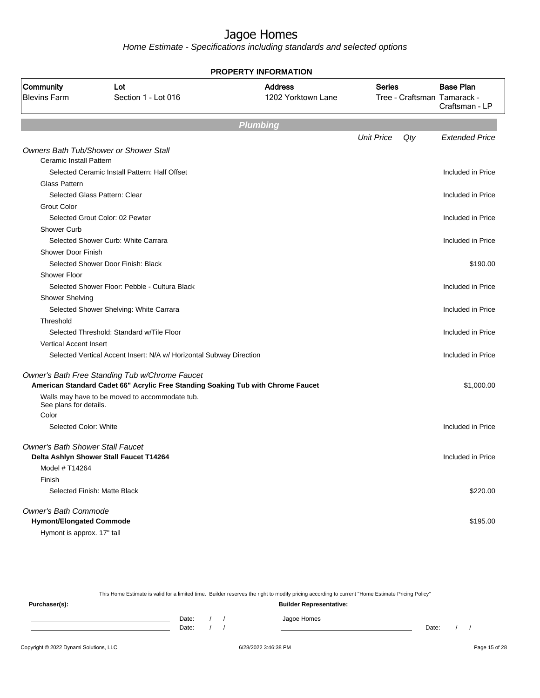Home Estimate - Specifications including standards and selected options

|                                         |                                                                                  | PROPERTY INFORMATION                 |                   |     |                                                                   |
|-----------------------------------------|----------------------------------------------------------------------------------|--------------------------------------|-------------------|-----|-------------------------------------------------------------------|
| Community<br><b>Blevins Farm</b>        | Lot<br>Section 1 - Lot 016                                                       | <b>Address</b><br>1202 Yorktown Lane | <b>Series</b>     |     | <b>Base Plan</b><br>Tree - Craftsman Tamarack -<br>Craftsman - LP |
|                                         |                                                                                  | <b>Plumbing</b>                      |                   |     |                                                                   |
|                                         |                                                                                  |                                      | <b>Unit Price</b> | Qty | <b>Extended Price</b>                                             |
|                                         | Owners Bath Tub/Shower or Shower Stall                                           |                                      |                   |     |                                                                   |
| Ceramic Install Pattern                 |                                                                                  |                                      |                   |     |                                                                   |
|                                         | Selected Ceramic Install Pattern: Half Offset                                    |                                      |                   |     | Included in Price                                                 |
| <b>Glass Pattern</b>                    |                                                                                  |                                      |                   |     |                                                                   |
|                                         | Selected Glass Pattern: Clear                                                    |                                      |                   |     | Included in Price                                                 |
| <b>Grout Color</b>                      |                                                                                  |                                      |                   |     |                                                                   |
|                                         | Selected Grout Color: 02 Pewter                                                  |                                      |                   |     | Included in Price                                                 |
| Shower Curb                             |                                                                                  |                                      |                   |     |                                                                   |
|                                         | Selected Shower Curb: White Carrara                                              |                                      |                   |     | Included in Price                                                 |
| Shower Door Finish                      |                                                                                  |                                      |                   |     |                                                                   |
| Shower Floor                            | Selected Shower Door Finish: Black                                               |                                      |                   |     | \$190.00                                                          |
|                                         | Selected Shower Floor: Pebble - Cultura Black                                    |                                      |                   |     | Included in Price                                                 |
| <b>Shower Shelving</b>                  |                                                                                  |                                      |                   |     |                                                                   |
|                                         | Selected Shower Shelving: White Carrara                                          |                                      |                   |     | Included in Price                                                 |
| Threshold                               |                                                                                  |                                      |                   |     |                                                                   |
|                                         | Selected Threshold: Standard w/Tile Floor                                        |                                      |                   |     | Included in Price                                                 |
| <b>Vertical Accent Insert</b>           |                                                                                  |                                      |                   |     |                                                                   |
|                                         | Selected Vertical Accent Insert: N/A w/ Horizontal Subway Direction              |                                      |                   |     | Included in Price                                                 |
|                                         |                                                                                  |                                      |                   |     |                                                                   |
|                                         | Owner's Bath Free Standing Tub w/Chrome Faucet                                   |                                      |                   |     |                                                                   |
|                                         | American Standard Cadet 66" Acrylic Free Standing Soaking Tub with Chrome Faucet |                                      |                   |     | \$1,000.00                                                        |
| See plans for details.                  | Walls may have to be moved to accommodate tub.                                   |                                      |                   |     |                                                                   |
| Color                                   |                                                                                  |                                      |                   |     |                                                                   |
| Selected Color: White                   |                                                                                  |                                      |                   |     | Included in Price                                                 |
| <b>Owner's Bath Shower Stall Faucet</b> |                                                                                  |                                      |                   |     |                                                                   |
|                                         | Delta Ashlyn Shower Stall Faucet T14264                                          |                                      |                   |     | Included in Price                                                 |
| Model # T14264                          |                                                                                  |                                      |                   |     |                                                                   |
| Finish                                  |                                                                                  |                                      |                   |     |                                                                   |
| Selected Finish: Matte Black            |                                                                                  |                                      |                   |     | \$220.00                                                          |
| <b>Owner's Bath Commode</b>             |                                                                                  |                                      |                   |     |                                                                   |
| <b>Hymont/Elongated Commode</b>         |                                                                                  |                                      |                   |     | \$195.00                                                          |
| Hymont is approx. 17" tall              |                                                                                  |                                      |                   |     |                                                                   |

This Home Estimate is valid for a limited time. Builder reserves the right to modify pricing according to current "Home Estimate Pricing Policy" **Purchaser(s): Builder Representative:** Date: / / Jagoe Homes<br>Date: / / Jagoe Homes Date: / / Date: / /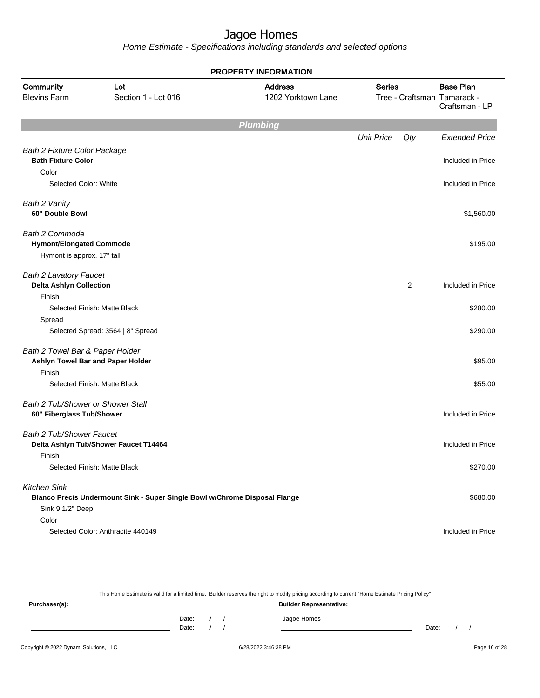Home Estimate - Specifications including standards and selected options

| <b>PROPERTY INFORMATION</b>              |                                                                            |                                      |                   |     |                                                 |  |  |
|------------------------------------------|----------------------------------------------------------------------------|--------------------------------------|-------------------|-----|-------------------------------------------------|--|--|
| <b>Community</b><br><b>Blevins Farm</b>  | Lot<br>Section 1 - Lot 016                                                 | <b>Address</b><br>1202 Yorktown Lane | <b>Series</b>     |     | <b>Base Plan</b><br>Tree - Craftsman Tamarack - |  |  |
|                                          |                                                                            |                                      |                   |     | Craftsman - LP                                  |  |  |
|                                          |                                                                            | <b>Plumbing</b>                      |                   |     |                                                 |  |  |
|                                          |                                                                            |                                      | <b>Unit Price</b> | Qty | <b>Extended Price</b>                           |  |  |
| <b>Bath 2 Fixture Color Package</b>      |                                                                            |                                      |                   |     |                                                 |  |  |
| <b>Bath Fixture Color</b>                |                                                                            |                                      |                   |     | Included in Price                               |  |  |
| Color                                    |                                                                            |                                      |                   |     |                                                 |  |  |
| Selected Color: White                    |                                                                            |                                      |                   |     | Included in Price                               |  |  |
| Bath 2 Vanity                            |                                                                            |                                      |                   |     |                                                 |  |  |
| 60" Double Bowl                          |                                                                            |                                      |                   |     | \$1,560.00                                      |  |  |
| Bath 2 Commode                           |                                                                            |                                      |                   |     |                                                 |  |  |
| <b>Hymont/Elongated Commode</b>          |                                                                            |                                      |                   |     | \$195.00                                        |  |  |
| Hymont is approx. 17" tall               |                                                                            |                                      |                   |     |                                                 |  |  |
| <b>Bath 2 Lavatory Faucet</b>            |                                                                            |                                      |                   |     |                                                 |  |  |
| <b>Delta Ashlyn Collection</b>           |                                                                            |                                      |                   | 2   | Included in Price                               |  |  |
| Finish                                   |                                                                            |                                      |                   |     |                                                 |  |  |
|                                          | Selected Finish: Matte Black                                               |                                      |                   |     | \$280.00                                        |  |  |
| Spread                                   |                                                                            |                                      |                   |     |                                                 |  |  |
|                                          | Selected Spread: 3564   8" Spread                                          |                                      |                   |     | \$290.00                                        |  |  |
| Bath 2 Towel Bar & Paper Holder          |                                                                            |                                      |                   |     |                                                 |  |  |
|                                          | Ashlyn Towel Bar and Paper Holder                                          |                                      |                   |     | \$95.00                                         |  |  |
| Finish                                   |                                                                            |                                      |                   |     |                                                 |  |  |
|                                          | Selected Finish: Matte Black                                               |                                      |                   |     | \$55.00                                         |  |  |
| <b>Bath 2 Tub/Shower or Shower Stall</b> |                                                                            |                                      |                   |     |                                                 |  |  |
| 60" Fiberglass Tub/Shower                |                                                                            |                                      |                   |     | Included in Price                               |  |  |
| <b>Bath 2 Tub/Shower Faucet</b>          |                                                                            |                                      |                   |     |                                                 |  |  |
|                                          | Delta Ashlyn Tub/Shower Faucet T14464                                      |                                      |                   |     | Included in Price                               |  |  |
| Finish                                   |                                                                            |                                      |                   |     |                                                 |  |  |
|                                          | Selected Finish: Matte Black                                               |                                      |                   |     | \$270.00                                        |  |  |
| <b>Kitchen Sink</b>                      |                                                                            |                                      |                   |     |                                                 |  |  |
|                                          | Blanco Precis Undermount Sink - Super Single Bowl w/Chrome Disposal Flange |                                      |                   |     | \$680.00                                        |  |  |
| Sink 9 1/2" Deep                         |                                                                            |                                      |                   |     |                                                 |  |  |
| Color                                    |                                                                            |                                      |                   |     |                                                 |  |  |
|                                          | Selected Color: Anthracite 440149                                          |                                      |                   |     | Included in Price                               |  |  |

This Home Estimate is valid for a limited time. Builder reserves the right to modify pricing according to current "Home Estimate Pricing Policy"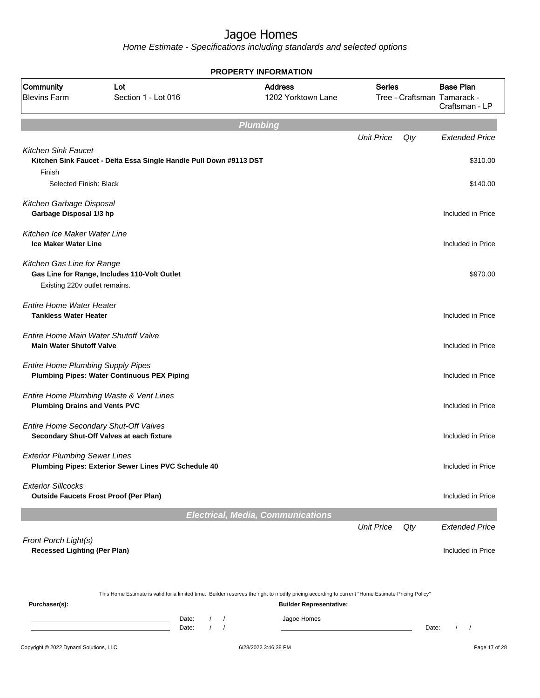| <b>Base Plan</b><br><b>Series</b><br>1202 Yorktown Lane<br>Tree - Craftsman Tamarack -<br>Craftsman - LP<br><b>Unit Price</b><br>Qty<br><b>Extended Price</b>                                                |
|--------------------------------------------------------------------------------------------------------------------------------------------------------------------------------------------------------------|
|                                                                                                                                                                                                              |
|                                                                                                                                                                                                              |
|                                                                                                                                                                                                              |
| \$310.00                                                                                                                                                                                                     |
| \$140.00                                                                                                                                                                                                     |
| Included in Price                                                                                                                                                                                            |
| Included in Price                                                                                                                                                                                            |
| \$970.00                                                                                                                                                                                                     |
| Included in Price                                                                                                                                                                                            |
| Included in Price                                                                                                                                                                                            |
| Included in Price                                                                                                                                                                                            |
| Included in Price                                                                                                                                                                                            |
| Included in Price                                                                                                                                                                                            |
| Included in Price                                                                                                                                                                                            |
| Included in Price                                                                                                                                                                                            |
| <b>Electrical, Media, Communications</b>                                                                                                                                                                     |
| <b>Unit Price</b><br>Qty<br><b>Extended Price</b>                                                                                                                                                            |
| Included in Price                                                                                                                                                                                            |
| This Home Estimate is valid for a limited time. Builder reserves the right to modify pricing according to current "Home Estimate Pricing Policy"<br><b>Builder Representative:</b><br>Date:<br>$\frac{1}{2}$ |
|                                                                                                                                                                                                              |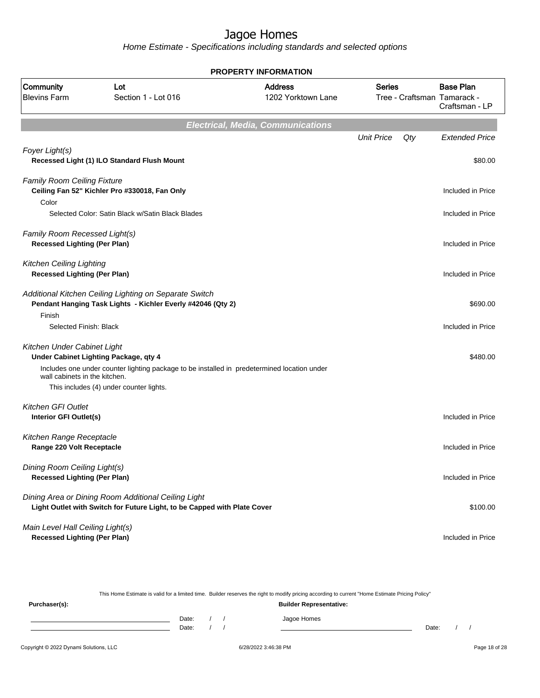Home Estimate - Specifications including standards and selected options

|                                                                        |                                                                                                                                 | <b>PROPERTY INFORMATION</b>              |                   |     |                                                 |
|------------------------------------------------------------------------|---------------------------------------------------------------------------------------------------------------------------------|------------------------------------------|-------------------|-----|-------------------------------------------------|
| Community<br><b>Blevins Farm</b>                                       | Lot<br>Section 1 - Lot 016                                                                                                      | <b>Address</b><br>1202 Yorktown Lane     | <b>Series</b>     |     | <b>Base Plan</b><br>Tree - Craftsman Tamarack - |
|                                                                        |                                                                                                                                 |                                          |                   |     | Craftsman - LP                                  |
|                                                                        |                                                                                                                                 | <b>Electrical, Media, Communications</b> |                   |     |                                                 |
|                                                                        |                                                                                                                                 |                                          | <b>Unit Price</b> | Qty | <b>Extended Price</b>                           |
| Foyer Light(s)                                                         |                                                                                                                                 |                                          |                   |     |                                                 |
|                                                                        | Recessed Light (1) ILO Standard Flush Mount                                                                                     |                                          |                   |     | \$80.00                                         |
|                                                                        |                                                                                                                                 |                                          |                   |     |                                                 |
| <b>Family Room Ceiling Fixture</b>                                     |                                                                                                                                 |                                          |                   |     |                                                 |
|                                                                        | Ceiling Fan 52" Kichler Pro #330018, Fan Only                                                                                   |                                          |                   |     | Included in Price                               |
| Color                                                                  |                                                                                                                                 |                                          |                   |     |                                                 |
|                                                                        | Selected Color: Satin Black w/Satin Black Blades                                                                                |                                          |                   |     | Included in Price                               |
| Family Room Recessed Light(s)                                          |                                                                                                                                 |                                          |                   |     |                                                 |
| <b>Recessed Lighting (Per Plan)</b>                                    |                                                                                                                                 |                                          |                   |     | Included in Price                               |
|                                                                        |                                                                                                                                 |                                          |                   |     |                                                 |
| <b>Kitchen Ceiling Lighting</b><br><b>Recessed Lighting (Per Plan)</b> |                                                                                                                                 |                                          |                   |     | Included in Price                               |
|                                                                        |                                                                                                                                 |                                          |                   |     |                                                 |
|                                                                        | Additional Kitchen Ceiling Lighting on Separate Switch                                                                          |                                          |                   |     |                                                 |
|                                                                        | Pendant Hanging Task Lights - Kichler Everly #42046 (Qty 2)                                                                     |                                          |                   |     | \$690.00                                        |
| Finish                                                                 |                                                                                                                                 |                                          |                   |     |                                                 |
| Selected Finish: Black                                                 |                                                                                                                                 |                                          |                   |     | Included in Price                               |
| Kitchen Under Cabinet Light                                            |                                                                                                                                 |                                          |                   |     |                                                 |
|                                                                        | Under Cabinet Lighting Package, qty 4                                                                                           |                                          |                   |     | \$480.00                                        |
|                                                                        | Includes one under counter lighting package to be installed in predetermined location under                                     |                                          |                   |     |                                                 |
| wall cabinets in the kitchen.                                          |                                                                                                                                 |                                          |                   |     |                                                 |
|                                                                        | This includes (4) under counter lights.                                                                                         |                                          |                   |     |                                                 |
| <b>Kitchen GFI Outlet</b>                                              |                                                                                                                                 |                                          |                   |     |                                                 |
| Interior GFI Outlet(s)                                                 |                                                                                                                                 |                                          |                   |     | Included in Price                               |
|                                                                        |                                                                                                                                 |                                          |                   |     |                                                 |
| Kitchen Range Receptacle<br>Range 220 Volt Receptacle                  |                                                                                                                                 |                                          |                   |     | Included in Price                               |
|                                                                        |                                                                                                                                 |                                          |                   |     |                                                 |
| Dining Room Ceiling Light(s)                                           |                                                                                                                                 |                                          |                   |     |                                                 |
| <b>Recessed Lighting (Per Plan)</b>                                    |                                                                                                                                 |                                          |                   |     | Included in Price                               |
|                                                                        |                                                                                                                                 |                                          |                   |     |                                                 |
|                                                                        | Dining Area or Dining Room Additional Ceiling Light<br>Light Outlet with Switch for Future Light, to be Capped with Plate Cover |                                          |                   |     | \$100.00                                        |
|                                                                        |                                                                                                                                 |                                          |                   |     |                                                 |
| Main Level Hall Ceiling Light(s)                                       |                                                                                                                                 |                                          |                   |     |                                                 |
| <b>Recessed Lighting (Per Plan)</b>                                    |                                                                                                                                 |                                          |                   |     | Included in Price                               |

This Home Estimate is valid for a limited time. Builder reserves the right to modify pricing according to current "Home Estimate Pricing Policy" **Purchaser(s): Builder Representative:** Date: / / Jagoe Homes<br>Date: / / Jagoe Homes Date: / / Date: / /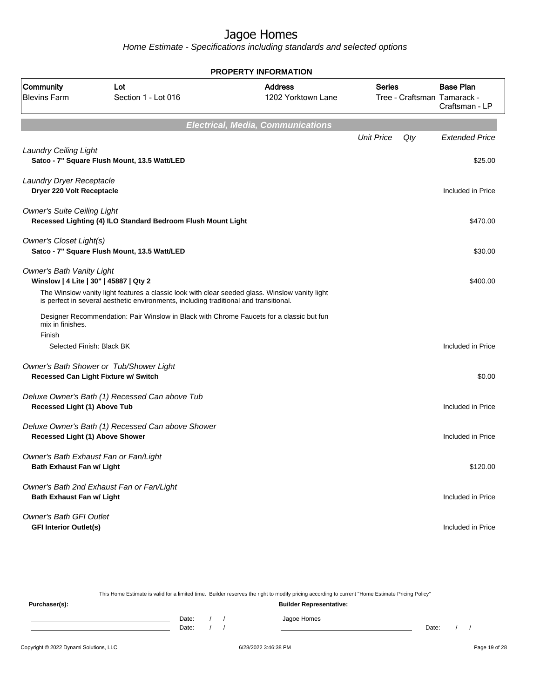Home Estimate - Specifications including standards and selected options

|                                                                                 |                                                                                                                                                                                         | <b>PROPERTY INFORMATION</b>              |                   |     |                                                                   |
|---------------------------------------------------------------------------------|-----------------------------------------------------------------------------------------------------------------------------------------------------------------------------------------|------------------------------------------|-------------------|-----|-------------------------------------------------------------------|
| Community<br><b>Blevins Farm</b>                                                | Lot<br>Section 1 - Lot 016                                                                                                                                                              | <b>Address</b><br>1202 Yorktown Lane     | Series            |     | <b>Base Plan</b><br>Tree - Craftsman Tamarack -<br>Craftsman - LP |
|                                                                                 |                                                                                                                                                                                         | <b>Electrical, Media, Communications</b> |                   |     |                                                                   |
| <b>Laundry Ceiling Light</b>                                                    | Satco - 7" Square Flush Mount, 13.5 Watt/LED                                                                                                                                            |                                          | <b>Unit Price</b> | Qty | <b>Extended Price</b><br>\$25.00                                  |
| Laundry Dryer Receptacle<br>Dryer 220 Volt Receptacle                           |                                                                                                                                                                                         |                                          |                   |     | Included in Price                                                 |
| <b>Owner's Suite Ceiling Light</b>                                              | Recessed Lighting (4) ILO Standard Bedroom Flush Mount Light                                                                                                                            |                                          |                   |     | \$470.00                                                          |
| Owner's Closet Light(s)                                                         | Satco - 7" Square Flush Mount, 13.5 Watt/LED                                                                                                                                            |                                          |                   |     | \$30.00                                                           |
| <b>Owner's Bath Vanity Light</b><br>Winslow   4 Lite   30"   45887   Qty 2      | The Winslow vanity light features a classic look with clear seeded glass. Winslow vanity light<br>is perfect in several aesthetic environments, including traditional and transitional. |                                          |                   |     | \$400.00                                                          |
| mix in finishes.<br>Finish<br>Selected Finish: Black BK                         | Designer Recommendation: Pair Winslow in Black with Chrome Faucets for a classic but fun                                                                                                |                                          |                   |     | Included in Price                                                 |
| Owner's Bath Shower or Tub/Shower Light<br>Recessed Can Light Fixture w/ Switch |                                                                                                                                                                                         |                                          |                   |     | \$0.00                                                            |
| Recessed Light (1) Above Tub                                                    | Deluxe Owner's Bath (1) Recessed Can above Tub                                                                                                                                          |                                          |                   |     | Included in Price                                                 |
| Recessed Light (1) Above Shower                                                 | Deluxe Owner's Bath (1) Recessed Can above Shower                                                                                                                                       |                                          |                   |     | Included in Price                                                 |
| Owner's Bath Exhaust Fan or Fan/Light<br><b>Bath Exhaust Fan w/ Light</b>       |                                                                                                                                                                                         |                                          |                   |     | \$120.00                                                          |
| Owner's Bath 2nd Exhaust Fan or Fan/Light<br><b>Bath Exhaust Fan w/ Light</b>   |                                                                                                                                                                                         |                                          |                   |     | Included in Price                                                 |
| <b>Owner's Bath GFI Outlet</b><br><b>GFI Interior Outlet(s)</b>                 |                                                                                                                                                                                         |                                          |                   |     | Included in Price                                                 |

This Home Estimate is valid for a limited time. Builder reserves the right to modify pricing according to current "Home Estimate Pricing Policy" **Purchaser(s): Builder Representative:** Date: / / Jagoe Homes<br>Date: / / Jagoe Homes Date: / / **Date: / / 2006** Date: / / / Date: / / / Date: / / / 2006 Date: / / / 2006 Date: / / / 2006 Date: / / / 2006 Date: / / / 2007 Date: / / / 2007 Date: / / / 2007 Date: / / / 2007 Date: / / / 2007 Date: / / / 2007 D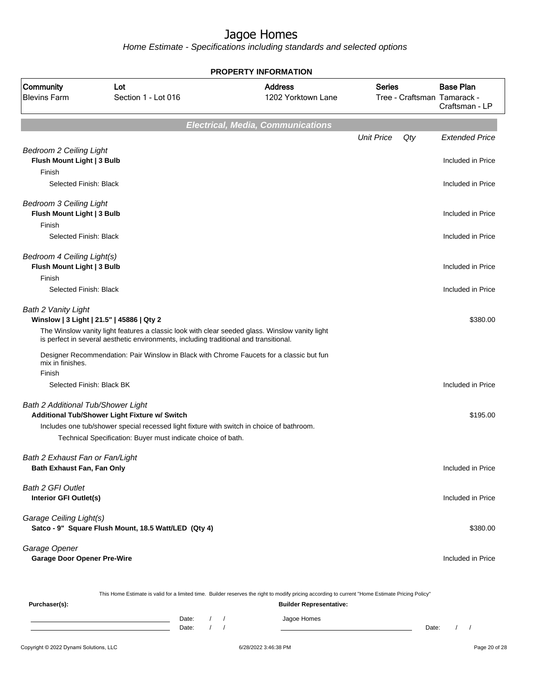Home Estimate - Specifications including standards and selected options

|                                                               |                                                                                                                                                                                         | <b>PROPERTY INFORMATION</b>                                                                                                                      |                                              |                                    |
|---------------------------------------------------------------|-----------------------------------------------------------------------------------------------------------------------------------------------------------------------------------------|--------------------------------------------------------------------------------------------------------------------------------------------------|----------------------------------------------|------------------------------------|
| Community<br><b>Blevins Farm</b>                              | Lot<br>Section 1 - Lot 016                                                                                                                                                              | <b>Address</b><br>1202 Yorktown Lane                                                                                                             | <b>Series</b><br>Tree - Craftsman Tamarack - | <b>Base Plan</b><br>Craftsman - LP |
|                                                               |                                                                                                                                                                                         | <b>Electrical, Media, Communications</b>                                                                                                         |                                              |                                    |
|                                                               |                                                                                                                                                                                         |                                                                                                                                                  | <b>Unit Price</b><br>Qty                     | <b>Extended Price</b>              |
| <b>Bedroom 2 Ceiling Light</b><br>Flush Mount Light   3 Bulb  |                                                                                                                                                                                         |                                                                                                                                                  |                                              | Included in Price                  |
| Finish<br>Selected Finish: Black                              |                                                                                                                                                                                         |                                                                                                                                                  |                                              | Included in Price                  |
| <b>Bedroom 3 Ceiling Light</b><br>Flush Mount Light   3 Bulb  |                                                                                                                                                                                         |                                                                                                                                                  |                                              | Included in Price                  |
| Finish                                                        |                                                                                                                                                                                         |                                                                                                                                                  |                                              |                                    |
| Selected Finish: Black                                        |                                                                                                                                                                                         |                                                                                                                                                  |                                              | Included in Price                  |
| Bedroom 4 Ceiling Light(s)<br>Flush Mount Light   3 Bulb      |                                                                                                                                                                                         |                                                                                                                                                  |                                              | Included in Price                  |
| Finish                                                        |                                                                                                                                                                                         |                                                                                                                                                  |                                              |                                    |
| Selected Finish: Black                                        |                                                                                                                                                                                         |                                                                                                                                                  |                                              | Included in Price                  |
| Bath 2 Vanity Light                                           | Winslow   3 Light   21.5"   45886   Qty 2                                                                                                                                               |                                                                                                                                                  |                                              | \$380.00                           |
|                                                               | The Winslow vanity light features a classic look with clear seeded glass. Winslow vanity light<br>is perfect in several aesthetic environments, including traditional and transitional. |                                                                                                                                                  |                                              |                                    |
| mix in finishes.                                              | Designer Recommendation: Pair Winslow in Black with Chrome Faucets for a classic but fun                                                                                                |                                                                                                                                                  |                                              |                                    |
| Finish                                                        |                                                                                                                                                                                         |                                                                                                                                                  |                                              |                                    |
| Selected Finish: Black BK                                     |                                                                                                                                                                                         |                                                                                                                                                  |                                              | Included in Price                  |
| <b>Bath 2 Additional Tub/Shower Light</b>                     | Additional Tub/Shower Light Fixture w/ Switch                                                                                                                                           |                                                                                                                                                  |                                              | \$195.00                           |
|                                                               | Includes one tub/shower special recessed light fixture with switch in choice of bathroom.                                                                                               |                                                                                                                                                  |                                              |                                    |
|                                                               | Technical Specification: Buyer must indicate choice of bath.                                                                                                                            |                                                                                                                                                  |                                              |                                    |
| Bath 2 Exhaust Fan or Fan/Light<br>Bath Exhaust Fan, Fan Only |                                                                                                                                                                                         |                                                                                                                                                  |                                              | Included in Price                  |
| <b>Bath 2 GFI Outlet</b><br>Interior GFI Outlet(s)            |                                                                                                                                                                                         |                                                                                                                                                  |                                              | Included in Price                  |
| Garage Ceiling Light(s)                                       | Satco - 9" Square Flush Mount, 18.5 Watt/LED (Qty 4)                                                                                                                                    |                                                                                                                                                  |                                              | \$380.00                           |
| Garage Opener<br><b>Garage Door Opener Pre-Wire</b>           |                                                                                                                                                                                         |                                                                                                                                                  |                                              | Included in Price                  |
|                                                               |                                                                                                                                                                                         | This Home Estimate is valid for a limited time. Builder reserves the right to modify pricing according to current "Home Estimate Pricing Policy" |                                              |                                    |
| Purchaser(s):                                                 |                                                                                                                                                                                         | <b>Builder Representative:</b>                                                                                                                   |                                              |                                    |
|                                                               | Date:                                                                                                                                                                                   | Jagoe Homes                                                                                                                                      |                                              |                                    |

Date: / / Jagoe Homes<br>Date: / / Jensies 1990 1990 1991 Date: / / Date: / /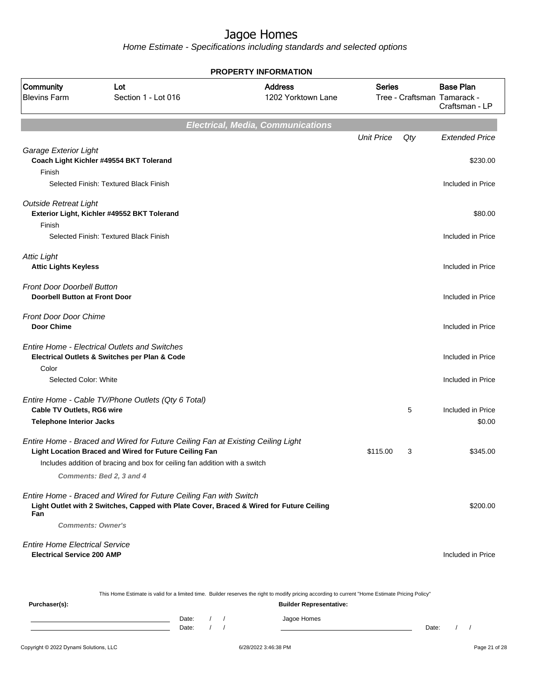Home Estimate - Specifications including standards and selected options

|                                                               |                                                                                                                                                  | <b>PROPERTY INFORMATION</b>              |                   |     |                                                                   |
|---------------------------------------------------------------|--------------------------------------------------------------------------------------------------------------------------------------------------|------------------------------------------|-------------------|-----|-------------------------------------------------------------------|
| Community<br><b>Blevins Farm</b>                              | Lot<br>Section 1 - Lot 016                                                                                                                       | <b>Address</b><br>1202 Yorktown Lane     | <b>Series</b>     |     | <b>Base Plan</b><br>Tree - Craftsman Tamarack -<br>Craftsman - LP |
|                                                               |                                                                                                                                                  |                                          |                   |     |                                                                   |
|                                                               |                                                                                                                                                  | <b>Electrical, Media, Communications</b> |                   |     |                                                                   |
|                                                               |                                                                                                                                                  |                                          | <b>Unit Price</b> | Qty | <b>Extended Price</b>                                             |
| Garage Exterior Light                                         |                                                                                                                                                  |                                          |                   |     |                                                                   |
| Finish                                                        | Coach Light Kichler #49554 BKT Tolerand                                                                                                          |                                          |                   |     | \$230.00                                                          |
|                                                               | Selected Finish: Textured Black Finish                                                                                                           |                                          |                   |     | Included in Price                                                 |
|                                                               |                                                                                                                                                  |                                          |                   |     |                                                                   |
| <b>Outside Retreat Light</b>                                  |                                                                                                                                                  |                                          |                   |     |                                                                   |
| Finish                                                        | Exterior Light, Kichler #49552 BKT Tolerand                                                                                                      |                                          |                   |     | \$80.00                                                           |
|                                                               | Selected Finish: Textured Black Finish                                                                                                           |                                          |                   |     | Included in Price                                                 |
|                                                               |                                                                                                                                                  |                                          |                   |     |                                                                   |
| <b>Attic Light</b>                                            |                                                                                                                                                  |                                          |                   |     |                                                                   |
| <b>Attic Lights Keyless</b>                                   |                                                                                                                                                  |                                          |                   |     | Included in Price                                                 |
| <b>Front Door Doorbell Button</b>                             |                                                                                                                                                  |                                          |                   |     |                                                                   |
| <b>Doorbell Button at Front Door</b>                          |                                                                                                                                                  |                                          |                   |     | Included in Price                                                 |
| <b>Front Door Door Chime</b>                                  |                                                                                                                                                  |                                          |                   |     |                                                                   |
| Door Chime                                                    |                                                                                                                                                  |                                          |                   |     | Included in Price                                                 |
|                                                               |                                                                                                                                                  |                                          |                   |     |                                                                   |
|                                                               | <b>Entire Home - Electrical Outlets and Switches</b>                                                                                             |                                          |                   |     | Included in Price                                                 |
| Color                                                         | Electrical Outlets & Switches per Plan & Code                                                                                                    |                                          |                   |     |                                                                   |
| Selected Color: White                                         |                                                                                                                                                  |                                          |                   |     | Included in Price                                                 |
|                                                               |                                                                                                                                                  |                                          |                   |     |                                                                   |
|                                                               | Entire Home - Cable TV/Phone Outlets (Qty 6 Total)                                                                                               |                                          |                   | 5   |                                                                   |
| Cable TV Outlets, RG6 wire<br><b>Telephone Interior Jacks</b> |                                                                                                                                                  |                                          |                   |     | Included in Price<br>\$0.00                                       |
|                                                               |                                                                                                                                                  |                                          |                   |     |                                                                   |
|                                                               | Entire Home - Braced and Wired for Future Ceiling Fan at Existing Ceiling Light                                                                  |                                          |                   |     |                                                                   |
|                                                               | Light Location Braced and Wired for Future Ceiling Fan                                                                                           |                                          | \$115.00          | 3   | \$345.00                                                          |
|                                                               | Includes addition of bracing and box for ceiling fan addition with a switch                                                                      |                                          |                   |     |                                                                   |
|                                                               | Comments: Bed 2, 3 and 4                                                                                                                         |                                          |                   |     |                                                                   |
|                                                               | Entire Home - Braced and Wired for Future Ceiling Fan with Switch                                                                                |                                          |                   |     |                                                                   |
| Fan                                                           | Light Outlet with 2 Switches, Capped with Plate Cover, Braced & Wired for Future Ceiling                                                         |                                          |                   |     | \$200.00                                                          |
|                                                               | <b>Comments: Owner's</b>                                                                                                                         |                                          |                   |     |                                                                   |
|                                                               |                                                                                                                                                  |                                          |                   |     |                                                                   |
| <b>Entire Home Electrical Service</b>                         |                                                                                                                                                  |                                          |                   |     |                                                                   |
| <b>Electrical Service 200 AMP</b>                             |                                                                                                                                                  |                                          |                   |     | Included in Price                                                 |
|                                                               |                                                                                                                                                  |                                          |                   |     |                                                                   |
|                                                               | This Home Estimate is valid for a limited time. Builder reserves the right to modify pricing according to current "Home Estimate Pricing Policy" |                                          |                   |     |                                                                   |
| Purchaser(s):                                                 |                                                                                                                                                  | <b>Builder Representative:</b>           |                   |     |                                                                   |
|                                                               |                                                                                                                                                  |                                          |                   |     |                                                                   |

Date: / / Jagoe Homes<br>Date: / / Jagoe Homes Date: / / Date: / /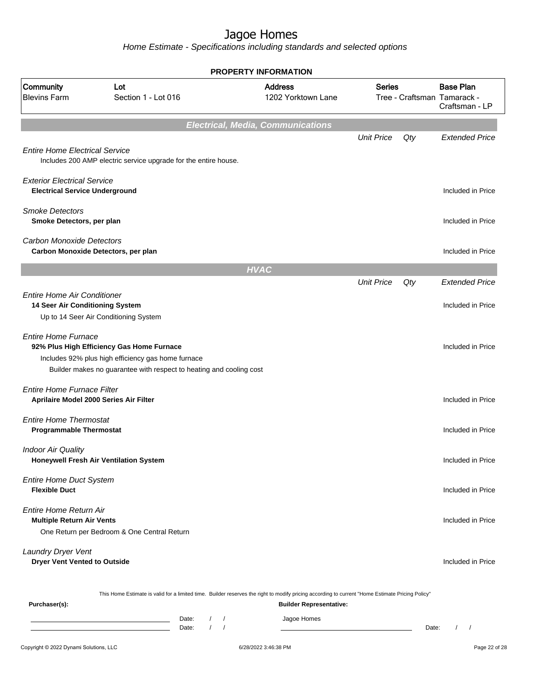|                                                                             |                                                                                                                                                                        |                                                | <b>PROPERTY INFORMATION</b>                                                                                                                      |                   |       |                                                                   |
|-----------------------------------------------------------------------------|------------------------------------------------------------------------------------------------------------------------------------------------------------------------|------------------------------------------------|--------------------------------------------------------------------------------------------------------------------------------------------------|-------------------|-------|-------------------------------------------------------------------|
| Community<br><b>Blevins Farm</b>                                            | Lot<br>Section 1 - Lot 016                                                                                                                                             |                                                | <b>Address</b><br>1202 Yorktown Lane                                                                                                             | <b>Series</b>     |       | <b>Base Plan</b><br>Tree - Craftsman Tamarack -<br>Craftsman - LP |
|                                                                             |                                                                                                                                                                        |                                                | <b>Electrical, Media, Communications</b>                                                                                                         |                   |       |                                                                   |
| <b>Entire Home Electrical Service</b>                                       | Includes 200 AMP electric service upgrade for the entire house.                                                                                                        |                                                |                                                                                                                                                  | <b>Unit Price</b> | Qty   | <b>Extended Price</b>                                             |
| <b>Exterior Electrical Service</b><br><b>Electrical Service Underground</b> |                                                                                                                                                                        |                                                |                                                                                                                                                  |                   |       | Included in Price                                                 |
| <b>Smoke Detectors</b><br>Smoke Detectors, per plan                         |                                                                                                                                                                        |                                                |                                                                                                                                                  |                   |       | Included in Price                                                 |
| <b>Carbon Monoxide Detectors</b>                                            | Carbon Monoxide Detectors, per plan                                                                                                                                    |                                                |                                                                                                                                                  |                   |       | Included in Price                                                 |
|                                                                             |                                                                                                                                                                        |                                                | <b>HVAC</b>                                                                                                                                      |                   |       |                                                                   |
| <b>Entire Home Air Conditioner</b>                                          |                                                                                                                                                                        |                                                |                                                                                                                                                  | <b>Unit Price</b> | Qty   | <b>Extended Price</b>                                             |
| 14 Seer Air Conditioning System                                             | Up to 14 Seer Air Conditioning System                                                                                                                                  |                                                |                                                                                                                                                  |                   |       | Included in Price                                                 |
| <b>Entire Home Furnace</b>                                                  | 92% Plus High Efficiency Gas Home Furnace<br>Includes 92% plus high efficiency gas home furnace<br>Builder makes no guarantee with respect to heating and cooling cost |                                                |                                                                                                                                                  |                   |       | Included in Price                                                 |
| Entire Home Furnace Filter<br>Aprilaire Model 2000 Series Air Filter        |                                                                                                                                                                        |                                                |                                                                                                                                                  |                   |       | Included in Price                                                 |
| <b>Entire Home Thermostat</b><br><b>Programmable Thermostat</b>             |                                                                                                                                                                        |                                                |                                                                                                                                                  |                   |       | Included in Price                                                 |
| <b>Indoor Air Quality</b>                                                   | Honeywell Fresh Air Ventilation System                                                                                                                                 |                                                |                                                                                                                                                  |                   |       | Included in Price                                                 |
| <b>Entire Home Duct System</b><br><b>Flexible Duct</b>                      |                                                                                                                                                                        |                                                |                                                                                                                                                  |                   |       | Included in Price                                                 |
| <b>Entire Home Return Air</b><br><b>Multiple Return Air Vents</b>           | One Return per Bedroom & One Central Return                                                                                                                            |                                                |                                                                                                                                                  |                   |       | Included in Price                                                 |
| <b>Laundry Dryer Vent</b><br><b>Dryer Vent Vented to Outside</b>            |                                                                                                                                                                        |                                                |                                                                                                                                                  |                   |       | Included in Price                                                 |
|                                                                             |                                                                                                                                                                        |                                                | This Home Estimate is valid for a limited time. Builder reserves the right to modify pricing according to current "Home Estimate Pricing Policy" |                   |       |                                                                   |
| Purchaser(s):                                                               |                                                                                                                                                                        | Date:<br>$\frac{1}{2}$<br>$1 \quad 1$<br>Date: | <b>Builder Representative:</b><br>Jagoe Homes                                                                                                    |                   | Date: | $\sqrt{ }$                                                        |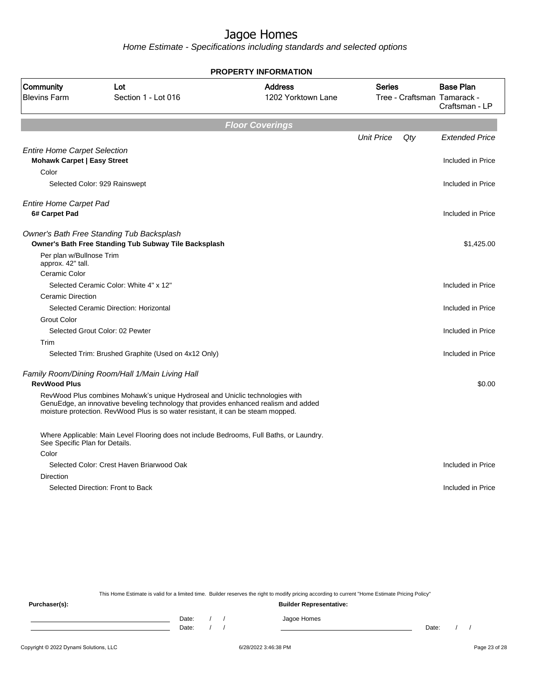Home Estimate - Specifications including standards and selected options

|                                               |                                                                                                                                                                                                                                                           | <b>PROPERTY INFORMATION</b>          |                   |     |                                                                   |
|-----------------------------------------------|-----------------------------------------------------------------------------------------------------------------------------------------------------------------------------------------------------------------------------------------------------------|--------------------------------------|-------------------|-----|-------------------------------------------------------------------|
| Community<br><b>Blevins Farm</b>              | Lot<br>Section 1 - Lot 016                                                                                                                                                                                                                                | <b>Address</b><br>1202 Yorktown Lane | <b>Series</b>     |     | <b>Base Plan</b><br>Tree - Craftsman Tamarack -<br>Craftsman - LP |
|                                               |                                                                                                                                                                                                                                                           | <b>Floor Coverings</b>               |                   |     |                                                                   |
|                                               |                                                                                                                                                                                                                                                           |                                      | <b>Unit Price</b> | Qty | <b>Extended Price</b>                                             |
| <b>Entire Home Carpet Selection</b>           |                                                                                                                                                                                                                                                           |                                      |                   |     |                                                                   |
| <b>Mohawk Carpet   Easy Street</b>            |                                                                                                                                                                                                                                                           |                                      |                   |     | Included in Price                                                 |
| Color                                         |                                                                                                                                                                                                                                                           |                                      |                   |     |                                                                   |
|                                               | Selected Color: 929 Rainswept                                                                                                                                                                                                                             |                                      |                   |     | Included in Price                                                 |
| <b>Entire Home Carpet Pad</b>                 |                                                                                                                                                                                                                                                           |                                      |                   |     |                                                                   |
| 6# Carpet Pad                                 |                                                                                                                                                                                                                                                           |                                      |                   |     | Included in Price                                                 |
|                                               | Owner's Bath Free Standing Tub Backsplash                                                                                                                                                                                                                 |                                      |                   |     |                                                                   |
|                                               | Owner's Bath Free Standing Tub Subway Tile Backsplash                                                                                                                                                                                                     |                                      |                   |     | \$1,425.00                                                        |
| Per plan w/Bullnose Trim<br>approx. 42" tall. |                                                                                                                                                                                                                                                           |                                      |                   |     |                                                                   |
| Ceramic Color                                 |                                                                                                                                                                                                                                                           |                                      |                   |     |                                                                   |
|                                               | Selected Ceramic Color: White 4" x 12"                                                                                                                                                                                                                    |                                      |                   |     | Included in Price                                                 |
| <b>Ceramic Direction</b>                      |                                                                                                                                                                                                                                                           |                                      |                   |     |                                                                   |
|                                               | Selected Ceramic Direction: Horizontal                                                                                                                                                                                                                    |                                      |                   |     | Included in Price                                                 |
| <b>Grout Color</b>                            |                                                                                                                                                                                                                                                           |                                      |                   |     |                                                                   |
|                                               | Selected Grout Color: 02 Pewter                                                                                                                                                                                                                           |                                      |                   |     | Included in Price                                                 |
| Trim                                          |                                                                                                                                                                                                                                                           |                                      |                   |     |                                                                   |
|                                               | Selected Trim: Brushed Graphite (Used on 4x12 Only)                                                                                                                                                                                                       |                                      |                   |     | Included in Price                                                 |
| <b>RevWood Plus</b>                           | Family Room/Dining Room/Hall 1/Main Living Hall                                                                                                                                                                                                           |                                      |                   |     | \$0.00                                                            |
|                                               | RevWood Plus combines Mohawk's unique Hydroseal and Uniclic technologies with<br>GenuEdge, an innovative beveling technology that provides enhanced realism and added<br>moisture protection. RevWood Plus is so water resistant, it can be steam mopped. |                                      |                   |     |                                                                   |
| See Specific Plan for Details.                | Where Applicable: Main Level Flooring does not include Bedrooms, Full Baths, or Laundry.                                                                                                                                                                  |                                      |                   |     |                                                                   |
| Color                                         |                                                                                                                                                                                                                                                           |                                      |                   |     |                                                                   |
|                                               | Selected Color: Crest Haven Briarwood Oak                                                                                                                                                                                                                 |                                      |                   |     | Included in Price                                                 |
| Direction                                     |                                                                                                                                                                                                                                                           |                                      |                   |     |                                                                   |
|                                               | Selected Direction: Front to Back                                                                                                                                                                                                                         |                                      |                   |     | Included in Price                                                 |
|                                               |                                                                                                                                                                                                                                                           |                                      |                   |     |                                                                   |

This Home Estimate is valid for a limited time. Builder reserves the right to modify pricing according to current "Home Estimate Pricing Policy"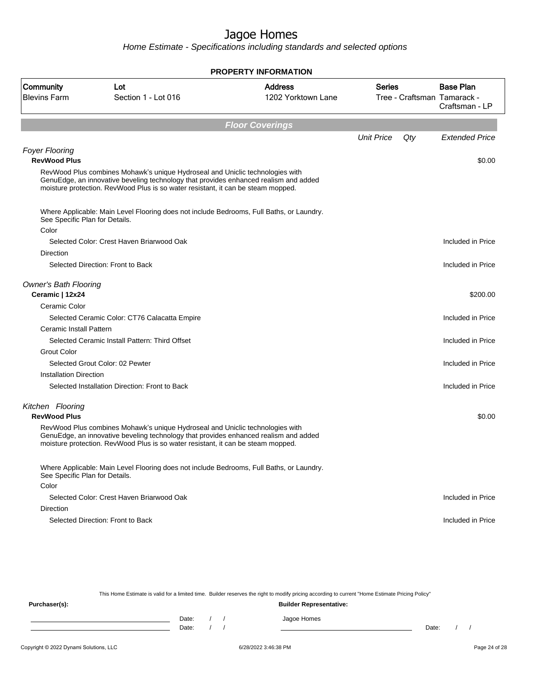Home Estimate - Specifications including standards and selected options

|                                                 |                                                                                                                                                                                                                                                           | <b>PROPERTY INFORMATION</b>          |                   |     |                                                 |
|-------------------------------------------------|-----------------------------------------------------------------------------------------------------------------------------------------------------------------------------------------------------------------------------------------------------------|--------------------------------------|-------------------|-----|-------------------------------------------------|
| Community<br><b>Blevins Farm</b>                | Lot<br>Section 1 - Lot 016                                                                                                                                                                                                                                | <b>Address</b><br>1202 Yorktown Lane | <b>Series</b>     |     | <b>Base Plan</b><br>Tree - Craftsman Tamarack - |
|                                                 |                                                                                                                                                                                                                                                           |                                      |                   |     | Craftsman - LP                                  |
|                                                 |                                                                                                                                                                                                                                                           | <b>Floor Coverings</b>               |                   |     |                                                 |
|                                                 |                                                                                                                                                                                                                                                           |                                      | <b>Unit Price</b> | Qty | <b>Extended Price</b>                           |
| <b>Foyer Flooring</b>                           |                                                                                                                                                                                                                                                           |                                      |                   |     |                                                 |
| <b>RevWood Plus</b>                             |                                                                                                                                                                                                                                                           |                                      |                   |     | \$0.00                                          |
|                                                 | RevWood Plus combines Mohawk's unique Hydroseal and Uniclic technologies with<br>GenuEdge, an innovative beveling technology that provides enhanced realism and added<br>moisture protection. RevWood Plus is so water resistant, it can be steam mopped. |                                      |                   |     |                                                 |
| See Specific Plan for Details.                  | Where Applicable: Main Level Flooring does not include Bedrooms, Full Baths, or Laundry.                                                                                                                                                                  |                                      |                   |     |                                                 |
| Color                                           |                                                                                                                                                                                                                                                           |                                      |                   |     |                                                 |
|                                                 | Selected Color: Crest Haven Briarwood Oak                                                                                                                                                                                                                 |                                      |                   |     | Included in Price                               |
| <b>Direction</b>                                |                                                                                                                                                                                                                                                           |                                      |                   |     |                                                 |
|                                                 | Selected Direction: Front to Back                                                                                                                                                                                                                         |                                      |                   |     | Included in Price                               |
| <b>Owner's Bath Flooring</b><br>Ceramic   12x24 |                                                                                                                                                                                                                                                           |                                      |                   |     | \$200.00                                        |
| Ceramic Color                                   |                                                                                                                                                                                                                                                           |                                      |                   |     |                                                 |
|                                                 | Selected Ceramic Color: CT76 Calacatta Empire                                                                                                                                                                                                             |                                      |                   |     | Included in Price                               |
| Ceramic Install Pattern                         |                                                                                                                                                                                                                                                           |                                      |                   |     |                                                 |
|                                                 | Selected Ceramic Install Pattern: Third Offset                                                                                                                                                                                                            |                                      |                   |     | Included in Price                               |
| <b>Grout Color</b>                              |                                                                                                                                                                                                                                                           |                                      |                   |     |                                                 |
|                                                 | Selected Grout Color: 02 Pewter                                                                                                                                                                                                                           |                                      |                   |     | Included in Price                               |
| <b>Installation Direction</b>                   |                                                                                                                                                                                                                                                           |                                      |                   |     |                                                 |
|                                                 | Selected Installation Direction: Front to Back                                                                                                                                                                                                            |                                      |                   |     | Included in Price                               |
| Kitchen Flooring<br><b>RevWood Plus</b>         |                                                                                                                                                                                                                                                           |                                      |                   |     | \$0.00                                          |
|                                                 | RevWood Plus combines Mohawk's unique Hydroseal and Uniclic technologies with<br>GenuEdge, an innovative beveling technology that provides enhanced realism and added<br>moisture protection. RevWood Plus is so water resistant, it can be steam mopped. |                                      |                   |     |                                                 |
| See Specific Plan for Details.                  | Where Applicable: Main Level Flooring does not include Bedrooms, Full Baths, or Laundry.                                                                                                                                                                  |                                      |                   |     |                                                 |
| Color                                           |                                                                                                                                                                                                                                                           |                                      |                   |     |                                                 |
|                                                 | Selected Color: Crest Haven Briarwood Oak                                                                                                                                                                                                                 |                                      |                   |     | Included in Price                               |
| Direction                                       |                                                                                                                                                                                                                                                           |                                      |                   |     |                                                 |
|                                                 | Selected Direction: Front to Back                                                                                                                                                                                                                         |                                      |                   |     | Included in Price                               |
|                                                 |                                                                                                                                                                                                                                                           |                                      |                   |     |                                                 |

This Home Estimate is valid for a limited time. Builder reserves the right to modify pricing according to current "Home Estimate Pricing Policy" **Purchaser(s): Builder Representative:**

Date: / / Jagoe Homes<br>Date: / / Jagoe Homes Date: / / Date: / /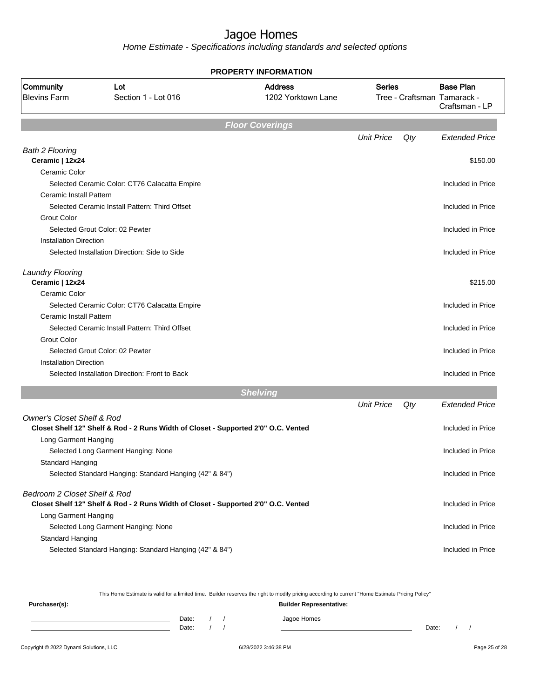Home Estimate - Specifications including standards and selected options

|                                       |                                                                                    | <b>PROPERTY INFORMATION</b>          |                   |     |                                                                   |
|---------------------------------------|------------------------------------------------------------------------------------|--------------------------------------|-------------------|-----|-------------------------------------------------------------------|
| Community<br><b>Blevins Farm</b>      | Lot<br>Section 1 - Lot 016                                                         | <b>Address</b><br>1202 Yorktown Lane | <b>Series</b>     |     | <b>Base Plan</b><br>Tree - Craftsman Tamarack -<br>Craftsman - LP |
|                                       |                                                                                    | <b>Floor Coverings</b>               |                   |     |                                                                   |
|                                       |                                                                                    |                                      | <b>Unit Price</b> | Qty | <b>Extended Price</b>                                             |
| <b>Bath 2 Flooring</b>                |                                                                                    |                                      |                   |     |                                                                   |
| Ceramic   12x24                       |                                                                                    |                                      |                   |     | \$150.00                                                          |
| Ceramic Color                         |                                                                                    |                                      |                   |     |                                                                   |
|                                       | Selected Ceramic Color: CT76 Calacatta Empire                                      |                                      |                   |     | Included in Price                                                 |
| <b>Ceramic Install Pattern</b>        |                                                                                    |                                      |                   |     |                                                                   |
|                                       | Selected Ceramic Install Pattern: Third Offset                                     |                                      |                   |     | Included in Price                                                 |
| <b>Grout Color</b>                    |                                                                                    |                                      |                   |     |                                                                   |
|                                       | Selected Grout Color: 02 Pewter                                                    |                                      |                   |     | Included in Price                                                 |
| <b>Installation Direction</b>         |                                                                                    |                                      |                   |     |                                                                   |
|                                       | Selected Installation Direction: Side to Side                                      |                                      |                   |     | Included in Price                                                 |
| <b>Laundry Flooring</b>               |                                                                                    |                                      |                   |     |                                                                   |
| Ceramic   12x24                       |                                                                                    |                                      |                   |     | \$215.00                                                          |
| Ceramic Color                         |                                                                                    |                                      |                   |     |                                                                   |
|                                       | Selected Ceramic Color: CT76 Calacatta Empire                                      |                                      |                   |     | Included in Price                                                 |
| Ceramic Install Pattern               |                                                                                    |                                      |                   |     |                                                                   |
|                                       | Selected Ceramic Install Pattern: Third Offset                                     |                                      |                   |     | Included in Price                                                 |
| <b>Grout Color</b>                    |                                                                                    |                                      |                   |     |                                                                   |
|                                       | Selected Grout Color: 02 Pewter                                                    |                                      |                   |     | Included in Price                                                 |
| <b>Installation Direction</b>         |                                                                                    |                                      |                   |     |                                                                   |
|                                       | Selected Installation Direction: Front to Back                                     |                                      |                   |     | Included in Price                                                 |
|                                       |                                                                                    | <b>Shelving</b>                      |                   |     |                                                                   |
|                                       |                                                                                    |                                      | <b>Unit Price</b> | Qty | <b>Extended Price</b>                                             |
| <b>Owner's Closet Shelf &amp; Rod</b> |                                                                                    |                                      |                   |     |                                                                   |
|                                       | Closet Shelf 12" Shelf & Rod - 2 Runs Width of Closet - Supported 2'0" O.C. Vented |                                      |                   |     | Included in Price                                                 |
| Long Garment Hanging                  |                                                                                    |                                      |                   |     |                                                                   |
|                                       | Selected Long Garment Hanging: None                                                |                                      |                   |     | Included in Price                                                 |
| Standard Hanging                      |                                                                                    |                                      |                   |     |                                                                   |
|                                       | Selected Standard Hanging: Standard Hanging (42" & 84")                            |                                      |                   |     | Included in Price                                                 |
| Bedroom 2 Closet Shelf & Rod          |                                                                                    |                                      |                   |     |                                                                   |
|                                       | Closet Shelf 12" Shelf & Rod - 2 Runs Width of Closet - Supported 2'0" O.C. Vented |                                      |                   |     | Included in Price                                                 |
| Long Garment Hanging                  |                                                                                    |                                      |                   |     |                                                                   |
|                                       | Selected Long Garment Hanging: None                                                |                                      |                   |     | Included in Price                                                 |
| <b>Standard Hanging</b>               |                                                                                    |                                      |                   |     |                                                                   |
|                                       | Selected Standard Hanging: Standard Hanging (42" & 84")                            |                                      |                   |     | Included in Price                                                 |
|                                       |                                                                                    |                                      |                   |     |                                                                   |

This Home Estimate is valid for a limited time. Builder reserves the right to modify pricing according to current "Home Estimate Pricing Policy" **Purchaser(s): Builder Representative:** Date: / / Jagoe Homes<br>Date: / / Jagoe Homes

Date: / / Date: / /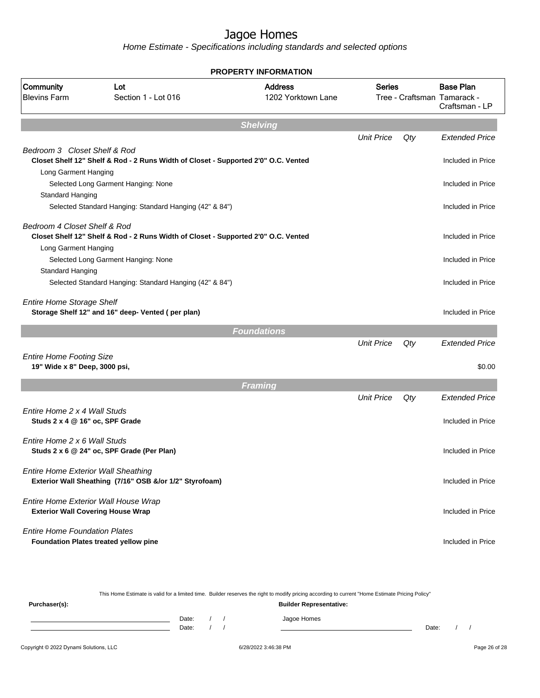Home Estimate - Specifications including standards and selected options

|                                                                                      |                                                                                    | <b>PROPERTY INFORMATION</b>          |                   |     |                                                                   |
|--------------------------------------------------------------------------------------|------------------------------------------------------------------------------------|--------------------------------------|-------------------|-----|-------------------------------------------------------------------|
| Community<br><b>Blevins Farm</b>                                                     | Lot<br>Section 1 - Lot 016                                                         | <b>Address</b><br>1202 Yorktown Lane | <b>Series</b>     |     | <b>Base Plan</b><br>Tree - Craftsman Tamarack -<br>Craftsman - LP |
|                                                                                      |                                                                                    | <b>Shelving</b>                      |                   |     |                                                                   |
|                                                                                      |                                                                                    |                                      | <b>Unit Price</b> | Qty | <b>Extended Price</b>                                             |
| Bedroom 3 Closet Shelf & Rod<br>Long Garment Hanging                                 | Closet Shelf 12" Shelf & Rod - 2 Runs Width of Closet - Supported 2'0" O.C. Vented |                                      |                   |     | Included in Price                                                 |
|                                                                                      | Selected Long Garment Hanging: None                                                |                                      |                   |     | Included in Price                                                 |
| Standard Hanging                                                                     |                                                                                    |                                      |                   |     |                                                                   |
|                                                                                      | Selected Standard Hanging: Standard Hanging (42" & 84")                            |                                      |                   |     | Included in Price                                                 |
| Bedroom 4 Closet Shelf & Rod                                                         |                                                                                    |                                      |                   |     |                                                                   |
| Long Garment Hanging                                                                 | Closet Shelf 12" Shelf & Rod - 2 Runs Width of Closet - Supported 2'0" O.C. Vented |                                      |                   |     | Included in Price                                                 |
|                                                                                      | Selected Long Garment Hanging: None                                                |                                      |                   |     | Included in Price                                                 |
| Standard Hanging                                                                     |                                                                                    |                                      |                   |     | Included in Price                                                 |
|                                                                                      | Selected Standard Hanging: Standard Hanging (42" & 84")                            |                                      |                   |     |                                                                   |
| <b>Entire Home Storage Shelf</b>                                                     | Storage Shelf 12" and 16" deep- Vented (per plan)                                  |                                      |                   |     | Included in Price                                                 |
|                                                                                      |                                                                                    | <b>Foundations</b>                   |                   |     |                                                                   |
|                                                                                      |                                                                                    |                                      | <b>Unit Price</b> | Qty | <b>Extended Price</b>                                             |
| <b>Entire Home Footing Size</b><br>19" Wide x 8" Deep, 3000 psi,                     |                                                                                    |                                      |                   |     | \$0.00                                                            |
|                                                                                      |                                                                                    | <b>Framing</b>                       |                   |     |                                                                   |
|                                                                                      |                                                                                    |                                      | <b>Unit Price</b> | Qty | <b>Extended Price</b>                                             |
| Entire Home 2 x 4 Wall Studs<br>Studs 2 x 4 @ 16" oc, SPF Grade                      |                                                                                    |                                      |                   |     | Included in Price                                                 |
| Entire Home 2 x 6 Wall Studs                                                         | Studs 2 x 6 @ 24" oc, SPF Grade (Per Plan)                                         |                                      |                   |     | Included in Price                                                 |
| <b>Entire Home Exterior Wall Sheathing</b>                                           | Exterior Wall Sheathing (7/16" OSB &/or 1/2" Styrofoam)                            |                                      |                   |     | Included in Price                                                 |
| Entire Home Exterior Wall House Wrap<br><b>Exterior Wall Covering House Wrap</b>     |                                                                                    |                                      |                   |     | Included in Price                                                 |
| <b>Entire Home Foundation Plates</b><br><b>Foundation Plates treated yellow pine</b> |                                                                                    |                                      |                   |     | Included in Price                                                 |

This Home Estimate is valid for a limited time. Builder reserves the right to modify pricing according to current "Home Estimate Pricing Policy" **Purchaser(s): Builder Representative:**

| $\cdot$ . |       |  |                   |       |  |
|-----------|-------|--|-------------------|-------|--|
|           | Date: |  | anne Homes<br>ـ - |       |  |
|           | Date: |  |                   | Date: |  |
|           |       |  |                   |       |  |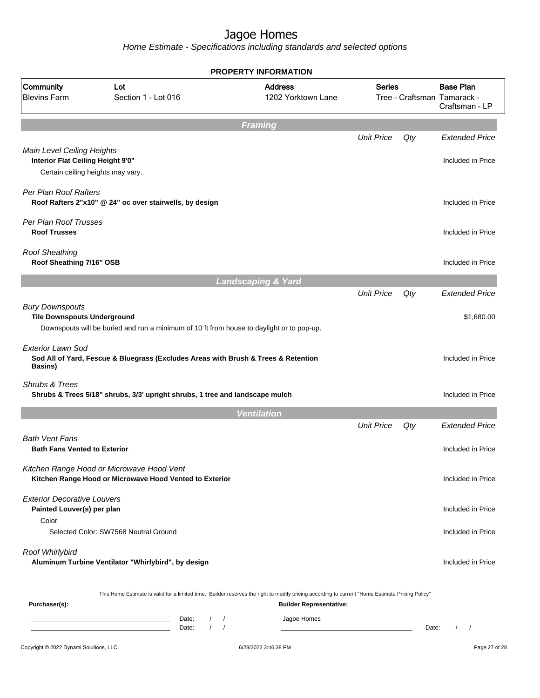| Community<br><b>Blevins Farm</b>                                          | Lot<br>Section 1 - Lot 016                                                                                                                       | <b>PROPERTY INFORMATION</b><br><b>Address</b><br>1202 Yorktown Lane | <b>Series</b>     |       | <b>Base Plan</b><br>Tree - Craftsman Tamarack -<br>Craftsman - LP |
|---------------------------------------------------------------------------|--------------------------------------------------------------------------------------------------------------------------------------------------|---------------------------------------------------------------------|-------------------|-------|-------------------------------------------------------------------|
|                                                                           |                                                                                                                                                  | <b>Framing</b>                                                      |                   |       |                                                                   |
|                                                                           |                                                                                                                                                  |                                                                     | <b>Unit Price</b> | Qty   | <b>Extended Price</b>                                             |
| Main Level Ceiling Heights<br>Interior Flat Ceiling Height 9'0"           | Certain ceiling heights may vary.                                                                                                                |                                                                     |                   |       | Included in Price                                                 |
| Per Plan Roof Rafters                                                     | Roof Rafters 2"x10" @ 24" oc over stairwells, by design                                                                                          |                                                                     |                   |       | Included in Price                                                 |
| Per Plan Roof Trusses<br><b>Roof Trusses</b>                              |                                                                                                                                                  |                                                                     |                   |       | Included in Price                                                 |
| <b>Roof Sheathing</b><br>Roof Sheathing 7/16" OSB                         |                                                                                                                                                  |                                                                     |                   |       | Included in Price                                                 |
|                                                                           |                                                                                                                                                  | <b>Landscaping &amp; Yard</b>                                       |                   |       |                                                                   |
| <b>Bury Downspouts</b><br><b>Tile Downspouts Underground</b>              | Downspouts will be buried and run a minimum of 10 ft from house to daylight or to pop-up.                                                        |                                                                     | <b>Unit Price</b> | Qty   | <b>Extended Price</b><br>\$1,680.00                               |
| <b>Exterior Lawn Sod</b><br>Basins)                                       | Sod All of Yard, Fescue & Bluegrass (Excludes Areas with Brush & Trees & Retention                                                               |                                                                     |                   |       | Included in Price                                                 |
| Shrubs & Trees                                                            | Shrubs & Trees 5/18" shrubs, 3/3' upright shrubs, 1 tree and landscape mulch                                                                     |                                                                     |                   |       | Included in Price                                                 |
|                                                                           |                                                                                                                                                  | <b>Ventilation</b>                                                  |                   |       |                                                                   |
| <b>Bath Vent Fans</b><br><b>Bath Fans Vented to Exterior</b>              |                                                                                                                                                  |                                                                     | <b>Unit Price</b> | Qty   | <b>Extended Price</b><br>Included in Price                        |
|                                                                           | Kitchen Range Hood or Microwave Hood Vent<br>Kitchen Range Hood or Microwave Hood Vented to Exterior                                             |                                                                     |                   |       | Included in Price                                                 |
| <b>Exterior Decorative Louvers</b><br>Painted Louver(s) per plan<br>Color |                                                                                                                                                  |                                                                     |                   |       | Included in Price                                                 |
|                                                                           | Selected Color: SW7568 Neutral Ground                                                                                                            |                                                                     |                   |       | Included in Price                                                 |
| Roof Whirlybird                                                           | Aluminum Turbine Ventilator "Whirlybird", by design                                                                                              |                                                                     |                   |       | Included in Price                                                 |
| Purchaser(s):                                                             | This Home Estimate is valid for a limited time. Builder reserves the right to modify pricing according to current "Home Estimate Pricing Policy" | <b>Builder Representative:</b>                                      |                   |       |                                                                   |
|                                                                           | Date:<br>$\left  \right $<br>the control of the control of the control of the<br>$\sqrt{ }$<br>Date:<br>$\sqrt{2}$                               | Jagoe Homes                                                         |                   | Date: | $\prime$<br>$\sqrt{2}$                                            |
| Copyright © 2022 Dynami Solutions, LLC                                    |                                                                                                                                                  | 6/28/2022 3:46:38 PM                                                |                   |       | Page 27 of 28                                                     |